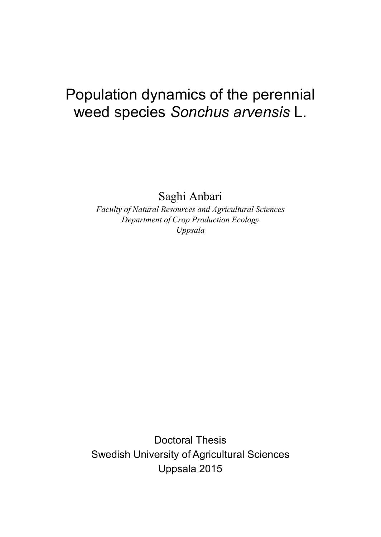# Population dynamics of the perennial weed species *Sonchus arvensis* L.

Saghi Anbari

*Faculty of Natural Resources and Agricultural Sciences Department of Crop Production Ecology Uppsala*

Doctoral Thesis Swedish University of Agricultural Sciences Uppsala 2015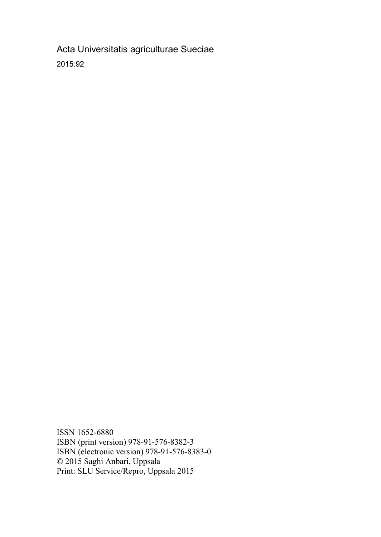Acta Universitatis agriculturae Sueciae 2015:92

ISSN 1652-6880 ISBN (print version) 978-91-576-8382-3 ISBN (electronic version) 978-91-576-8383-0 © 2015 Saghi Anbari, Uppsala Print: SLU Service/Repro, Uppsala 2015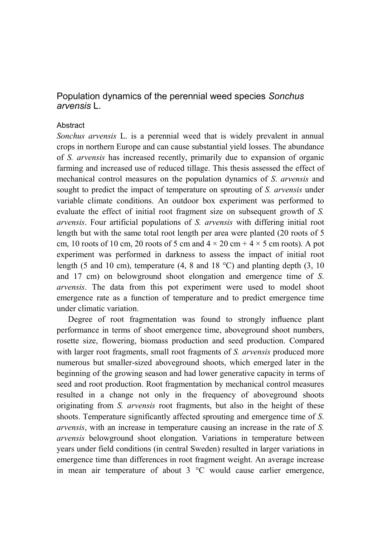### Population dynamics of the perennial weed species *Sonchus arvensis* L.

#### **Abstract**

*Sonchus arvensis* L. is a perennial weed that is widely prevalent in annual crops in northern Europe and can cause substantial yield losses. The abundance of *S. arvensis* has increased recently, primarily due to expansion of organic farming and increased use of reduced tillage. This thesis assessed the effect of mechanical control measures on the population dynamics of *S*. *arvensis* and sought to predict the impact of temperature on sprouting of *S. arvensis* under variable climate conditions. An outdoor box experiment was performed to evaluate the effect of initial root fragment size on subsequent growth of *S. arvensis*. Four artificial populations of *S. arvensis* with differing initial root length but with the same total root length per area were planted (20 roots of 5 cm, 10 roots of 10 cm, 20 roots of 5 cm and  $4 \times 20$  cm +  $4 \times 5$  cm roots). A pot experiment was performed in darkness to assess the impact of initial root length (5 and 10 cm), temperature (4, 8 and 18  $^{\circ}$ C) and planting depth (3, 10 and 17 cm) on belowground shoot elongation and emergence time of *S*. *arvensis*. The data from this pot experiment were used to model shoot emergence rate as a function of temperature and to predict emergence time under climatic variation.

Degree of root fragmentation was found to strongly influence plant performance in terms of shoot emergence time, aboveground shoot numbers, rosette size, flowering, biomass production and seed production. Compared with larger root fragments, small root fragments of *S. arvensis* produced more numerous but smaller-sized aboveground shoots, which emerged later in the beginning of the growing season and had lower generative capacity in terms of seed and root production. Root fragmentation by mechanical control measures resulted in a change not only in the frequency of aboveground shoots originating from *S. arvensis* root fragments, but also in the height of these shoots. Temperature significantly affected sprouting and emergence time of *S*. *arvensis*, with an increase in temperature causing an increase in the rate of *S. arvensis* belowground shoot elongation. Variations in temperature between years under field conditions (in central Sweden) resulted in larger variations in emergence time than differences in root fragment weight. An average increase in mean air temperature of about 3 °C would cause earlier emergence,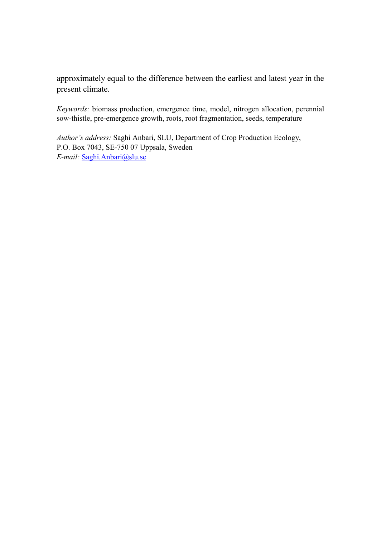approximately equal to the difference between the earliest and latest year in the present climate.

*Keywords:* biomass production, emergence time, model, nitrogen allocation, perennial sow-thistle, pre-emergence growth, roots, root fragmentation, seeds, temperature

*Author's address:* Saghi Anbari, SLU, Department of Crop Production Ecology, P.O. Box 7043, SE-750 07 Uppsala, Sweden *E-mail:* [Saghi.Anbari@slu.se](mailto:Saghi.Anbari@slu.se)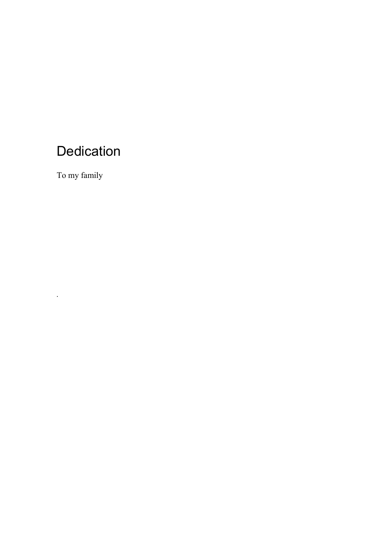# **Dedication**

To my family

*.*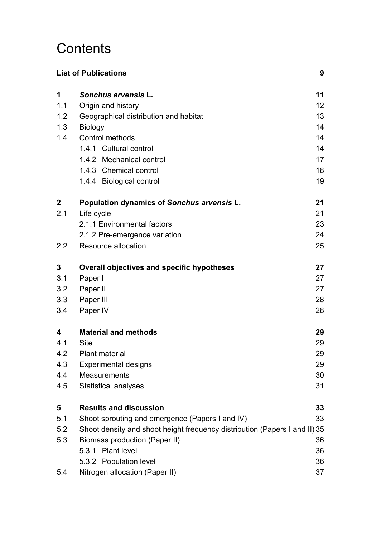# **Contents**

|     | <b>List of Publications</b>                                                |    |  |
|-----|----------------------------------------------------------------------------|----|--|
| 1   | Sonchus arvensis L.                                                        | 11 |  |
| 1.1 | Origin and history                                                         | 12 |  |
| 1.2 | Geographical distribution and habitat                                      | 13 |  |
| 1.3 | Biology                                                                    | 14 |  |
| 1.4 | Control methods                                                            | 14 |  |
|     | 1.4.1 Cultural control                                                     | 14 |  |
|     | 1.4.2 Mechanical control                                                   | 17 |  |
|     | 1.4.3 Chemical control                                                     | 18 |  |
|     | 1.4.4 Biological control                                                   | 19 |  |
| 2   | Population dynamics of Sonchus arvensis L.                                 | 21 |  |
| 2.1 | Life cycle                                                                 | 21 |  |
|     | 2.1.1 Environmental factors                                                | 23 |  |
|     | 2.1.2 Pre-emergence variation                                              | 24 |  |
| 2.2 | Resource allocation                                                        | 25 |  |
| 3   | Overall objectives and specific hypotheses                                 | 27 |  |
| 3.1 | Paper I                                                                    | 27 |  |
| 3.2 | Paper II                                                                   | 27 |  |
| 3.3 | Paper III                                                                  | 28 |  |
| 3.4 | Paper IV                                                                   | 28 |  |
| 4   | <b>Material and methods</b>                                                | 29 |  |
| 4.1 | Site                                                                       | 29 |  |
| 4.2 | <b>Plant material</b>                                                      | 29 |  |
| 4.3 | Experimental designs                                                       | 29 |  |
| 4.4 | Measurements                                                               | 30 |  |
| 4.5 | Statistical analyses                                                       | 31 |  |
| 5   | <b>Results and discussion</b>                                              | 33 |  |
| 5.1 | Shoot sprouting and emergence (Papers I and IV)                            | 33 |  |
| 5.2 | Shoot density and shoot height frequency distribution (Papers I and II) 35 |    |  |
| 5.3 | <b>Biomass production (Paper II)</b>                                       | 36 |  |
|     | 5.3.1 Plant level                                                          | 36 |  |
|     | 5.3.2 Population level                                                     | 36 |  |
| 5.4 | Nitrogen allocation (Paper II)                                             | 37 |  |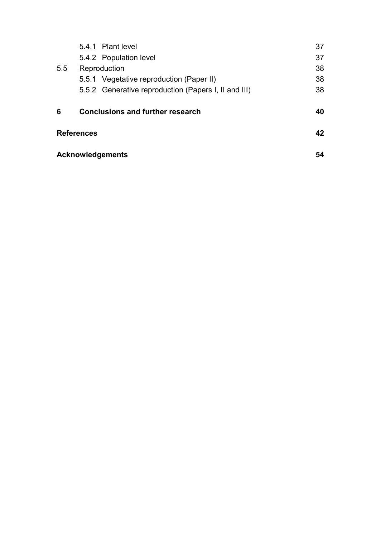|                   | 5.4.1 Plant level                                    | 37 |
|-------------------|------------------------------------------------------|----|
|                   | 5.4.2 Population level                               | 37 |
| 5.5               | Reproduction                                         | 38 |
|                   | 5.5.1 Vegetative reproduction (Paper II)             | 38 |
|                   | 5.5.2 Generative reproduction (Papers I, II and III) | 38 |
| 6                 | <b>Conclusions and further research</b>              | 40 |
| <b>References</b> |                                                      | 42 |
| Acknowledgements  |                                                      | 54 |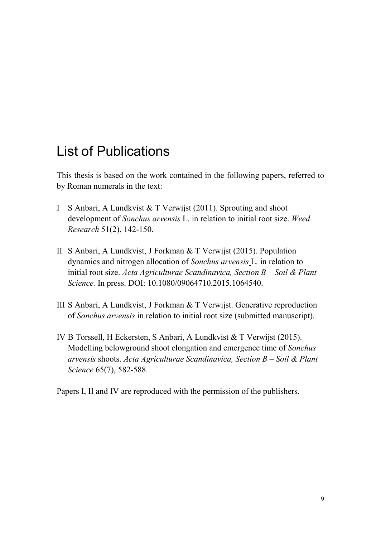## <span id="page-8-0"></span>List of Publications

This thesis is based on the work contained in the following papers, referred to by Roman numerals in the text:

- I S Anbari, A Lundkvist & T Verwijst (2011). Sprouting and shoot development of *Sonchus arvensis* L. in relation to initial root size. *Weed Research* 51(2), 142-150.
- II S Anbari, A Lundkvist, J Forkman & T Verwijst (2015). Population dynamics and nitrogen allocation of *Sonchus arvensis* L. in relation to initial root size. *Acta Agriculturae Scandinavica, Section B – Soil & Plant Science.* In press. DOI: 10.1080/09064710.2015.1064540.
- III S Anbari, A Lundkvist, J Forkman & T Verwijst. Generative reproduction of *Sonchus arvensis* in relation to initial root size (submitted manuscript).
- IV B Torssell, H Eckersten, S Anbari, A Lundkvist & T Verwijst (2015). Modelling belowground shoot elongation and emergence time of *Sonchus arvensis* shoots. *Acta Agriculturae Scandinavica, Section B – Soil & Plant Science* 65(7), 582-588.

Papers I, II and IV are reproduced with the permission of the publishers.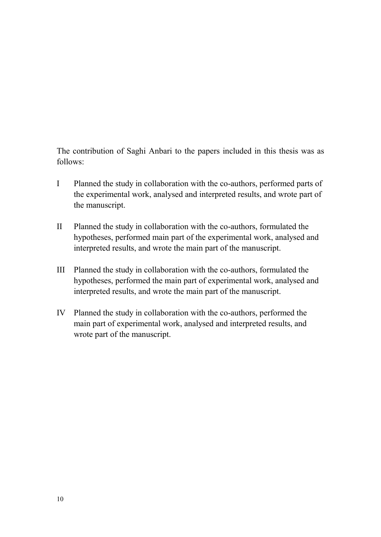The contribution of Saghi Anbari to the papers included in this thesis was as follows:

- I Planned the study in collaboration with the co-authors, performed parts of the experimental work, analysed and interpreted results, and wrote part of the manuscript.
- II Planned the study in collaboration with the co-authors, formulated the hypotheses, performed main part of the experimental work, analysed and interpreted results, and wrote the main part of the manuscript.
- III Planned the study in collaboration with the co-authors, formulated the hypotheses, performed the main part of experimental work, analysed and interpreted results, and wrote the main part of the manuscript.
- IV Planned the study in collaboration with the co-authors, performed the main part of experimental work, analysed and interpreted results, and wrote part of the manuscript.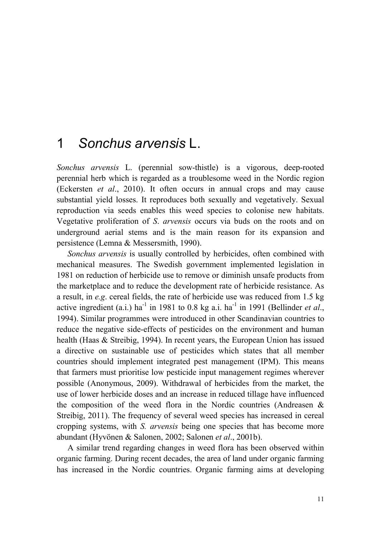## <span id="page-10-0"></span>1 *Sonchus arvensis* L.

*Sonchus arvensis* L. (perennial sow-thistle) is a vigorous, deep-rooted perennial herb which is regarded as a troublesome weed in the Nordic region (Eckersten *et al*., 2010). It often occurs in annual crops and may cause substantial yield losses. It reproduces both sexually and vegetatively. Sexual reproduction via seeds enables this weed species to colonise new habitats. Vegetative proliferation of *S*. *arvensis* occurs via buds on the roots and on underground aerial stems and is the main reason for its expansion and persistence (Lemna & Messersmith, 1990).

*Sonchus arvensis* is usually controlled by herbicides, often combined with mechanical measures. The Swedish government implemented legislation in 1981 on reduction of herbicide use to remove or diminish unsafe products from the marketplace and to reduce the development rate of herbicide resistance. As a result, in *e.g*. cereal fields, the rate of herbicide use was reduced from 1.5 kg active ingredient (a.i.) ha<sup>-1</sup> in 1981 to 0.8 kg a.i. ha<sup>-1</sup> in 1991 (Bellinder *et al.*, 1994). Similar programmes were introduced in other Scandinavian countries to reduce the negative side-effects of pesticides on the environment and human health (Haas & Streibig, 1994). In recent years, the European Union has issued a directive on sustainable use of pesticides which states that all member countries should implement integrated pest management (IPM). This means that farmers must prioritise low pesticide input management regimes wherever possible (Anonymous, 2009). Withdrawal of herbicides from the market, the use of lower herbicide doses and an increase in reduced tillage have influenced the composition of the weed flora in the Nordic countries (Andreasen & Streibig, 2011). The frequency of several weed species has increased in cereal cropping systems, with *S. arvensis* being one species that has become more abundant (Hyvönen & Salonen, 2002; Salonen *et al*., 2001b).

A similar trend regarding changes in weed flora has been observed within organic farming. During recent decades, the area of land under organic farming has increased in the Nordic countries. Organic farming aims at developing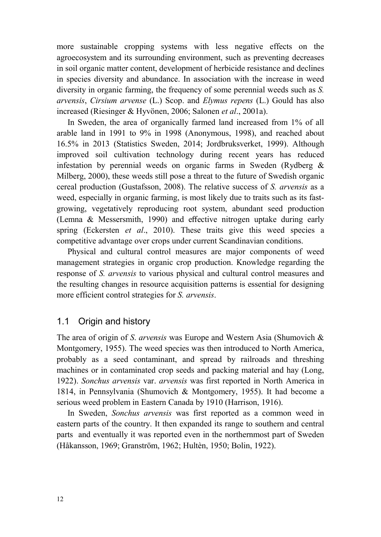more sustainable cropping systems with less negative effects on the agroecosystem and its surrounding environment, such as preventing decreases in soil organic matter content, development of herbicide resistance and declines in species diversity and abundance. In association with the increase in weed diversity in organic farming, the frequency of some perennial weeds such as *S. arvensis*, *Cirsium arvense* (L.) Scop. and *Elymus repens* (L.) Gould has also increased (Riesinger & Hyvönen, 2006; Salonen *et al*., 2001a).

In Sweden, the area of organically farmed land increased from 1% of all arable land in 1991 to 9% in 1998 (Anonymous, 1998), and reached about 16.5% in 2013 (Statistics Sweden, 2014; Jordbruksverket, 1999). Although improved soil cultivation technology during recent years has reduced infestation by perennial weeds on organic farms in Sweden (Rydberg & Milberg, 2000), these weeds still pose a threat to the future of Swedish organic cereal production (Gustafsson, 2008). The relative success of *S. arvensis* as a weed, especially in organic farming, is most likely due to traits such as its fastgrowing, vegetatively reproducing root system, abundant seed production (Lemna & Messersmith, 1990) and effective nitrogen uptake during early spring (Eckersten *et al*., 2010). These traits give this weed species a competitive advantage over crops under current Scandinavian conditions.

Physical and cultural control measures are major components of weed management strategies in organic crop production. Knowledge regarding the response of *S. arvensis* to various physical and cultural control measures and the resulting changes in resource acquisition patterns is essential for designing more efficient control strategies for *S. arvensis*.

## <span id="page-11-0"></span>1.1 Origin and history

The area of origin of *S*. *arvensis* was Europe and Western Asia (Shumovich & Montgomery, 1955). The weed species was then introduced to North America, probably as a seed contaminant, and spread by railroads and threshing machines or in contaminated crop seeds and packing material and hay (Long, 1922). *Sonchus arvensis* var. *arvensis* was first reported in North America in 1814, in Pennsylvania (Shumovich & Montgomery, 1955). It had become a serious weed problem in Eastern Canada by 1910 (Harrison, 1916).

In Sweden, *Sonchus arvensis* was first reported as a common weed in eastern parts of the country. It then expanded its range to southern and central parts and eventually it was reported even in the northernmost part of Sweden (Håkansson, 1969; Granström, 1962; Hultѐn, 1950; Bolin, 1922).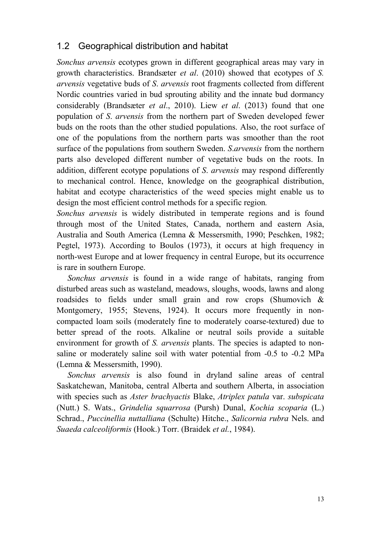## <span id="page-12-0"></span>1.2 Geographical distribution and habitat

*Sonchus arvensis* ecotypes grown in different geographical areas may vary in growth characteristics. Brandsæter *et al*. (2010) showed that ecotypes of *S. arvensis* vegetative buds of *S*. *arvensis* root fragments collected from different Nordic countries varied in bud sprouting ability and the innate bud dormancy considerably (Brandsæter *et al*., 2010). Liew *et al*. (2013) found that one population of *S*. *arvensis* from the northern part of Sweden developed fewer buds on the roots than the other studied populations. Also, the root surface of one of the populations from the northern parts was smoother than the root surface of the populations from southern Sweden. *S*.*arvensis* from the northern parts also developed different number of vegetative buds on the roots. In addition, different ecotype populations of *S*. *arvensis* may respond differently to mechanical control. Hence, knowledge on the geographical distribution, habitat and ecotype characteristics of the weed species might enable us to design the most efficient control methods for a specific region*.* 

*Sonchus arvensis* is widely distributed in temperate regions and is found through most of the United States, Canada, northern and eastern Asia, Australia and South America (Lemna & Messersmith, 1990; Peschken, 1982; Pegtel, 1973). According to Boulos (1973), it occurs at high frequency in north-west Europe and at lower frequency in central Europe, but its occurrence is rare in southern Europe.

*Sonchus arvensis* is found in a wide range of habitats, ranging from disturbed areas such as wasteland, meadows, sloughs, woods, lawns and along roadsides to fields under small grain and row crops (Shumovich & Montgomery, 1955; Stevens, 1924). It occurs more frequently in noncompacted loam soils (moderately fine to moderately coarse-textured) due to better spread of the roots. Alkaline or neutral soils provide a suitable environment for growth of *S. arvensis* plants. The species is adapted to nonsaline or moderately saline soil with water potential from -0.5 to -0.2 MPa (Lemna & Messersmith, 1990).

*Sonchus arvensis* is also found in dryland saline areas of central Saskatchewan, Manitoba, central Alberta and southern Alberta, in association with species such as *Aster brachyactis* Blake, *Atriplex patula* var. *subspicata* (Nutt.) S. Wats., *Grindelia squarrosa* (Pursh) Dunal, *Kochia scoparia* (L.) Schrad., *Puccinellia nuttalliana* (Schulte) Hitche., *Salicornia rubra* Nels. and *Suaeda calceoliformis* (Hook.) Torr. (Braidek *et al.*, 1984).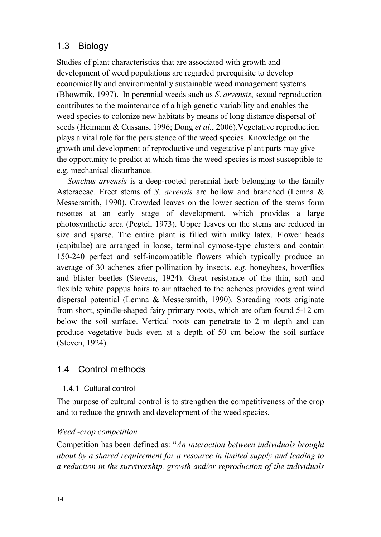## <span id="page-13-0"></span>1.3 Biology

Studies of plant characteristics that are associated with growth and development of weed populations are regarded prerequisite to develop economically and environmentally sustainable weed management systems (Bhowmik, 1997). In perennial weeds such as *S*. *arvensis*, sexual reproduction contributes to the maintenance of a high genetic variability and enables the weed species to colonize new habitats by means of long distance dispersal of seeds (Heimann & Cussans, 1996; Dong *et al.*, 2006).Vegetative reproduction plays a vital role for the persistence of the weed species. Knowledge on the growth and development of reproductive and vegetative plant parts may give the opportunity to predict at which time the weed species is most susceptible to e.g. mechanical disturbance.

*Sonchus arvensis* is a deep-rooted perennial herb belonging to the family Asteraceae. Erect stems of *S. arvensis* are hollow and branched (Lemna & Messersmith, 1990). Crowded leaves on the lower section of the stems form rosettes at an early stage of development, which provides a large photosynthetic area (Pegtel, 1973). Upper leaves on the stems are reduced in size and sparse. The entire plant is filled with milky latex. Flower heads (capitulae) are arranged in loose, terminal cymose-type clusters and contain 150-240 perfect and self-incompatible flowers which typically produce an average of 30 achenes after pollination by insects, *e.g*. honeybees, hoverflies and blister beetles (Stevens, 1924). Great resistance of the thin, soft and flexible white pappus hairs to air attached to the achenes provides great wind dispersal potential (Lemna & Messersmith, 1990). Spreading roots originate from short, spindle-shaped fairy primary roots, which are often found 5-12 cm below the soil surface. Vertical roots can penetrate to 2 m depth and can produce vegetative buds even at a depth of 50 cm below the soil surface (Steven, 1924).

## <span id="page-13-1"></span>1.4 Control methods

## <span id="page-13-2"></span>1.4.1 Cultural control

The purpose of cultural control is to strengthen the competitiveness of the crop and to reduce the growth and development of the weed species.

## *Weed -crop competition*

Competition has been defined as: "*An interaction between individuals brought about by a shared requirement for a resource in limited supply and leading to a reduction in the survivorship, growth and/or reproduction of the individuals*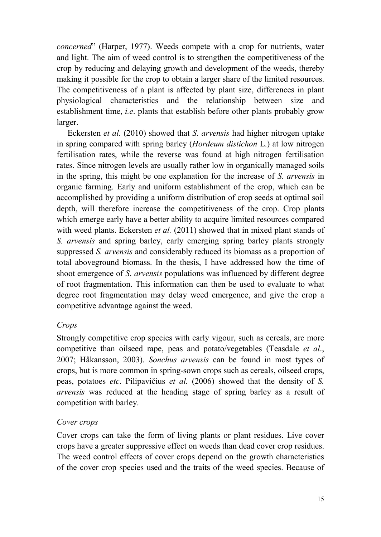*concerned*" (Harper, 1977). Weeds compete with a crop for nutrients, water and light. The aim of weed control is to strengthen the competitiveness of the crop by reducing and delaying growth and development of the weeds, thereby making it possible for the crop to obtain a larger share of the limited resources. The competitiveness of a plant is affected by plant size, differences in plant physiological characteristics and the relationship between size and establishment time, *i.e*. plants that establish before other plants probably grow larger.

Eckersten *et al.* (2010) showed that *S. arvensis* had higher nitrogen uptake in spring compared with spring barley (*Hordeum distichon* L.) at low nitrogen fertilisation rates, while the reverse was found at high nitrogen fertilisation rates. Since nitrogen levels are usually rather low in organically managed soils in the spring, this might be one explanation for the increase of *S. arvensis* in organic farming. Early and uniform establishment of the crop, which can be accomplished by providing a uniform distribution of crop seeds at optimal soil depth, will therefore increase the competitiveness of the crop. Crop plants which emerge early have a better ability to acquire limited resources compared with weed plants. Eckersten *et al.* (2011) showed that in mixed plant stands of *S. arvensis* and spring barley, early emerging spring barley plants strongly suppressed *S. arvensis* and considerably reduced its biomass as a proportion of total aboveground biomass. In the thesis, I have addressed how the time of shoot emergence of *S*. *arvensis* populations was influenced by different degree of root fragmentation. This information can then be used to evaluate to what degree root fragmentation may delay weed emergence, and give the crop a competitive advantage against the weed.

#### *Crops*

Strongly competitive crop species with early vigour, such as cereals, are more competitive than oilseed rape, peas and potato/vegetables (Teasdale *et al*., 2007; Håkansson, 2003). *Sonchus arvensis* can be found in most types of crops, but is more common in spring-sown crops such as cereals, oilseed crops, peas, potatoes *etc*. Pilipavičius *et al.* (2006) showed that the density of *S. arvensis* was reduced at the heading stage of spring barley as a result of competition with barley.

## *Cover crops*

Cover crops can take the form of living plants or plant residues. Live cover crops have a greater suppressive effect on weeds than dead cover crop residues. The weed control effects of cover crops depend on the growth characteristics of the cover crop species used and the traits of the weed species. Because of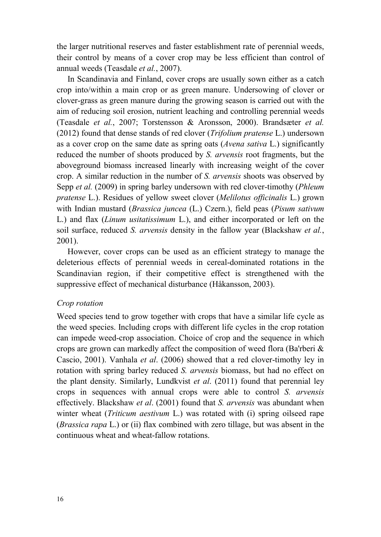the larger nutritional reserves and faster establishment rate of perennial weeds, their control by means of a cover crop may be less efficient than control of annual weeds (Teasdale *et al.*, 2007).

In Scandinavia and Finland, cover crops are usually sown either as a catch crop into/within a main crop or as green manure. Undersowing of clover or clover-grass as green manure during the growing season is carried out with the aim of reducing soil erosion, nutrient leaching and controlling perennial weeds (Teasdale *et al.*, 2007; Torstensson & Aronsson, 2000). Brandsæter *et al.* (2012) found that dense stands of red clover (*Trifolium pratense* L.) undersown as a cover crop on the same date as spring oats (*Avena sativa* L.) significantly reduced the number of shoots produced by *S. arvensis* root fragments, but the aboveground biomass increased linearly with increasing weight of the cover crop. A similar reduction in the number of *S. arvensis* shoots was observed by Sepp *et al.* (2009) in spring barley undersown with red clover-timothy (*Phleum pratense* L.). Residues of yellow sweet clover (*Melilotus officinalis* L.) grown with Indian mustard (*Brassica juncea* (L.) Czern.), field peas (*Pisum sativum* L.) and flax (*Linum usitatissimum* L.), and either incorporated or left on the soil surface, reduced *S. arvensis* density in the fallow year (Blackshaw *et al.*, 2001).

However, cover crops can be used as an efficient strategy to manage the deleterious effects of perennial weeds in cereal-dominated rotations in the Scandinavian region, if their competitive effect is strengthened with the suppressive effect of mechanical disturbance (Håkansson, 2003).

#### *Crop rotation*

Weed species tend to grow together with crops that have a similar life cycle as the weed species. Including crops with different life cycles in the crop rotation can impede weed-crop association. Choice of crop and the sequence in which crops are grown can markedly affect the composition of weed flora (Ba'rberi & Cascio, 2001). Vanhala *et al*. (2006) showed that a red clover-timothy ley in rotation with spring barley reduced *S. arvensis* biomass, but had no effect on the plant density. Similarly, Lundkvist *et al*. (2011) found that perennial ley crops in sequences with annual crops were able to control *S. arvensis* effectively. Blackshaw *et al*. (2001) found that *S. arvensis* was abundant when winter wheat (*Triticum aestivum* L.) was rotated with (i) spring oilseed rape (*Brassica rapa* L.) or (ii) flax combined with zero tillage, but was absent in the continuous wheat and wheat-fallow rotations.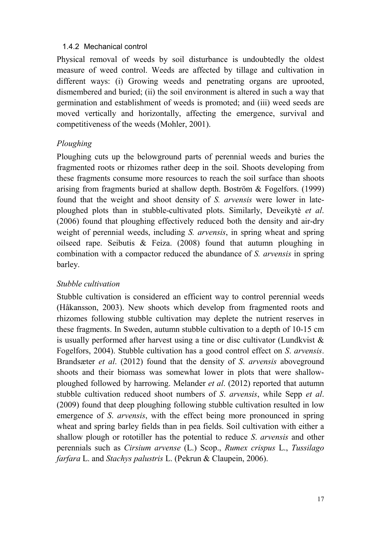### <span id="page-16-0"></span>1.4.2 Mechanical control

Physical removal of weeds by soil disturbance is undoubtedly the oldest measure of weed control. Weeds are affected by tillage and cultivation in different ways: (i) Growing weeds and penetrating organs are uprooted, dismembered and buried; (ii) the soil environment is altered in such a way that germination and establishment of weeds is promoted; and (iii) weed seeds are moved vertically and horizontally, affecting the emergence, survival and competitiveness of the weeds (Mohler, 2001).

## *Ploughing*

Ploughing cuts up the belowground parts of perennial weeds and buries the fragmented roots or rhizomes rather deep in the soil. Shoots developing from these fragments consume more resources to reach the soil surface than shoots arising from fragments buried at shallow depth. Boström & Fogelfors. (1999) found that the weight and shoot density of *S. arvensis* were lower in lateploughed plots than in stubble-cultivated plots. Similarly, Deveikytė *et al*. (2006) found that ploughing effectively reduced both the density and air-dry weight of perennial weeds, including *S. arvensis*, in spring wheat and spring oilseed rape. Seibutis & Feiza. (2008) found that autumn ploughing in combination with a compactor reduced the abundance of *S. arvensis* in spring barley.

## *Stubble cultivation*

Stubble cultivation is considered an efficient way to control perennial weeds (Håkansson, 2003). New shoots which develop from fragmented roots and rhizomes following stubble cultivation may deplete the nutrient reserves in these fragments. In Sweden, autumn stubble cultivation to a depth of 10-15 cm is usually performed after harvest using a tine or disc cultivator (Lundkvist  $\&$ Fogelfors, 2004). Stubble cultivation has a good control effect on *S*. *arvensis*. Brandsæter *et al*. (2012) found that the density of *S*. *arvensis* aboveground shoots and their biomass was somewhat lower in plots that were shallowploughed followed by harrowing. Melander *et al*. (2012) reported that autumn stubble cultivation reduced shoot numbers of *S*. *arvensis*, while Sepp *et al*. (2009) found that deep ploughing following stubble cultivation resulted in low emergence of *S*. *arvensis*, with the effect being more pronounced in spring wheat and spring barley fields than in pea fields. Soil cultivation with either a shallow plough or rototiller has the potential to reduce *S*. *arvensis* and other perennials such as *Cirsium arvense* (L.) Scop., *Rumex crispus* L., *Tussilago farfara* L. and *Stachys palustris* L. (Pekrun & Claupein, 2006).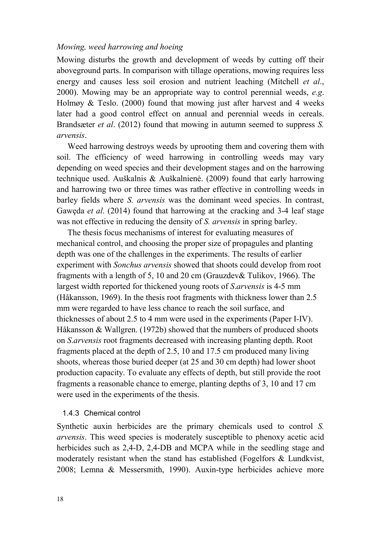#### *Mowing, weed harrowing and hoeing*

Mowing disturbs the growth and development of weeds by cutting off their aboveground parts. In comparison with tillage operations, mowing requires less energy and causes less soil erosion and nutrient leaching (Mitchell *et al*., 2000). Mowing may be an appropriate way to control perennial weeds, *e.g*. Holmøy & Teslo. (2000) found that mowing just after harvest and 4 weeks later had a good control effect on annual and perennial weeds in cereals. Brandsæter *et al*. (2012) found that mowing in autumn seemed to suppress *S. arvensis*.

Weed harrowing destroys weeds by uprooting them and covering them with soil. The efficiency of weed harrowing in controlling weeds may vary depending on weed species and their development stages and on the harrowing technique used. Auškalnis & Auškalnienė. (2009) found that early harrowing and harrowing two or three times was rather effective in controlling weeds in barley fields where *S. arvensis* was the dominant weed species. In contrast, Gawęda *et al*. (2014) found that harrowing at the cracking and 3-4 leaf stage was not effective in reducing the density of *S. arvensis* in spring barley.

The thesis focus mechanisms of interest for evaluating measures of mechanical control, and choosing the proper size of propagules and planting depth was one of the challenges in the experiments. The results of earlier experiment with *Sonchus arvensis* showed that shoots could develop from root fragments with a length of 5, 10 and 20 cm (Grauzdev& Tulikov, 1966). The largest width reported for thickened young roots of *S*.*arvensis* is 4-5 mm (Håkansson, 1969). In the thesis root fragments with thickness lower than 2.5 mm were regarded to have less chance to reach the soil surface, and thicknesses of about 2.5 to 4 mm were used in the experiments (Paper I-IV). Håkansson & Wallgren. (1972b) showed that the numbers of produced shoots on *S*.*arvensis* root fragments decreased with increasing planting depth. Root fragments placed at the depth of 2.5, 10 and 17.5 cm produced many living shoots, whereas those buried deeper (at 25 and 30 cm depth) had lower shoot production capacity. To evaluate any effects of depth, but still provide the root fragments a reasonable chance to emerge, planting depths of 3, 10 and 17 cm were used in the experiments of the thesis.

#### <span id="page-17-0"></span>1.4.3 Chemical control

Synthetic auxin herbicides are the primary chemicals used to control *S. arvensis*. This weed species is moderately susceptible to phenoxy acetic acid herbicides such as 2,4-D, 2,4-DB and MCPA while in the seedling stage and moderately resistant when the stand has established (Fogelfors & Lundkvist, 2008; Lemna & Messersmith, 1990). Auxin-type herbicides achieve more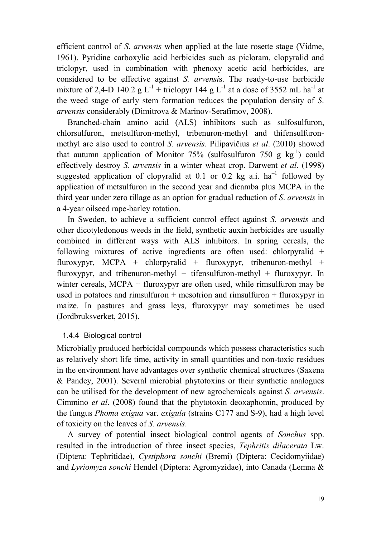efficient control of *S*. *arvensis* when applied at the late rosette stage (Vidme, 1961). Pyridine carboxylic acid herbicides such as picloram, clopyralid and triclopyr, used in combination with phenoxy acetic acid herbicides, are considered to be effective against *S. arvensi*s. The ready-to-use herbicide mixture of 2,4-D 140.2 g  $L^{-1}$  + triclopyr 144 g  $L^{-1}$  at a dose of 3552 mL ha<sup>-1</sup> at the weed stage of early stem formation reduces the population density of *S*. *arvensis* considerably (Dimitrova & Marinov-Serafimov, 2008).

Branched-chain amino acid (ALS) inhibitors such as sulfosulfuron, chlorsulfuron, metsulfuron-methyl, tribenuron-methyl and thifensulfuronmethyl are also used to control *S. arvensis*. Pilipavičius *et al*. (2010) showed that autumn application of Monitor 75% (sulfosulfuron 750 g  $kg^{-1}$ ) could effectively destroy *S*. *arvensis* in a winter wheat crop. Darwent *et al*. (1998) suggested application of clopyralid at 0.1 or 0.2 kg a.i.  $ha^{-1}$  followed by application of metsulfuron in the second year and dicamba plus MCPA in the third year under zero tillage as an option for gradual reduction of *S*. *arvensis* in a 4-year oilseed rape-barley rotation.

In Sweden, to achieve a sufficient control effect against *S*. *arvensis* and other dicotyledonous weeds in the field, synthetic auxin herbicides are usually combined in different ways with ALS inhibitors. In spring cereals, the following mixtures of active ingredients are often used: chlorpyralid + fluroxypyr, MCPA + chlorpyralid + fluroxypyr, tribenuron-methyl + fluroxypyr, and tribenuron-methyl + tifensulfuron-methyl + fluroxypyr. In winter cereals,  $MCPA + fluroxypyr$  are often used, while rimsulfuron may be used in potatoes and rimsulfuron  $+$  mesotrion and rimsulfuron  $+$  fluroxypyr in maize. In pastures and grass leys, fluroxypyr may sometimes be used (Jordbruksverket, 2015).

#### <span id="page-18-0"></span>1.4.4 Biological control

Microbially produced herbicidal compounds which possess characteristics such as relatively short life time, activity in small quantities and non-toxic residues in the environment have advantages over synthetic chemical structures (Saxena & Pandey, 2001). Several microbial phytotoxins or their synthetic analogues can be utilised for the development of new agrochemicals against *S. arvensis*. Cimmino *et al*. (2008) found that the phytotoxin deoxaphomin, produced by the fungus *Phoma exigua* var. *exigula* (strains C177 and S-9), had a high level of toxicity on the leaves of *S. arvensis*.

A survey of potential insect biological control agents of *Sonchus* spp. resulted in the introduction of three insect species, *Tephritis dilacerata* Lw. (Diptera: Tephritidae), *Cystiphora sonchi* (Bremi) (Diptera: Cecidomyiidae) and *Lyriomyza sonchi* Hendel (Diptera: Agromyzidae), into Canada (Lemna &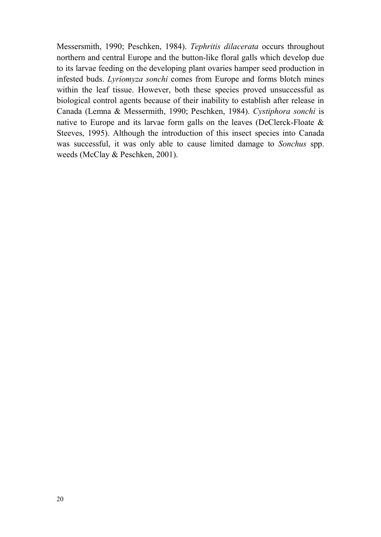Messersmith, 1990; Peschken, 1984). *Tephritis dilacerata* occurs throughout northern and central Europe and the button-like floral galls which develop due to its larvae feeding on the developing plant ovaries hamper seed production in infested buds. *Lyriomyza sonchi* comes from Europe and forms blotch mines within the leaf tissue. However, both these species proved unsuccessful as biological control agents because of their inability to establish after release in Canada (Lemna & Messermith, 1990; Peschken, 1984). *Cystiphora sonchi* is native to Europe and its larvae form galls on the leaves (DeClerck-Floate  $\&$ Steeves, 1995). Although the introduction of this insect species into Canada was successful, it was only able to cause limited damage to *Sonchus* spp. weeds (McClay & Peschken, 2001).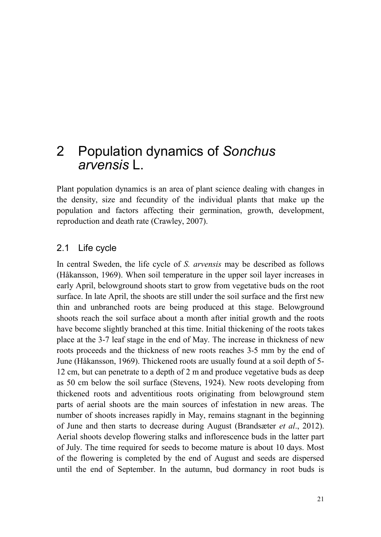## <span id="page-20-0"></span>2 Population dynamics of *Sonchus arvensis* L.

Plant population dynamics is an area of plant science dealing with changes in the density, size and fecundity of the individual plants that make up the population and factors affecting their germination, growth, development, reproduction and death rate (Crawley, 2007).

## <span id="page-20-1"></span>2.1 Life cycle

In central Sweden, the life cycle of *S. arvensis* may be described as follows (Håkansson, 1969). When soil temperature in the upper soil layer increases in early April, belowground shoots start to grow from vegetative buds on the root surface. In late April, the shoots are still under the soil surface and the first new thin and unbranched roots are being produced at this stage. Belowground shoots reach the soil surface about a month after initial growth and the roots have become slightly branched at this time. Initial thickening of the roots takes place at the 3-7 leaf stage in the end of May. The increase in thickness of new roots proceeds and the thickness of new roots reaches 3-5 mm by the end of June (Håkansson, 1969). Thickened roots are usually found at a soil depth of 5- 12 cm, but can penetrate to a depth of 2 m and produce vegetative buds as deep as 50 cm below the soil surface (Stevens, 1924). New roots developing from thickened roots and adventitious roots originating from belowground stem parts of aerial shoots are the main sources of infestation in new areas. The number of shoots increases rapidly in May, remains stagnant in the beginning of June and then starts to decrease during August (Brandsæter *et al*., 2012). Aerial shoots develop flowering stalks and inflorescence buds in the latter part of July. The time required for seeds to become mature is about 10 days. Most of the flowering is completed by the end of August and seeds are dispersed until the end of September. In the autumn, bud dormancy in root buds is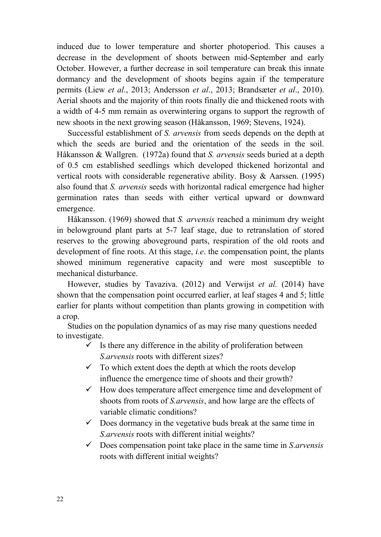induced due to lower temperature and shorter photoperiod. This causes a decrease in the development of shoots between mid-September and early October. However, a further decrease in soil temperature can break this innate dormancy and the development of shoots begins again if the temperature permits (Liew *et al*., 2013; Andersson *et al*., 2013; Brandsæter *et al*., 2010). Aerial shoots and the majority of thin roots finally die and thickened roots with a width of 4-5 mm remain as overwintering organs to support the regrowth of new shoots in the next growing season (Håkansson, 1969; Stevens, 1924).

Successful establishment of *S. arvensis* from seeds depends on the depth at which the seeds are buried and the orientation of the seeds in the soil. Håkansson & Wallgren. (1972a) found that *S. arvensis* seeds buried at a depth of 0.5 cm established seedlings which developed thickened horizontal and vertical roots with considerable regenerative ability. Bosy & Aarssen. (1995) also found that *S. arvensis* seeds with horizontal radical emergence had higher germination rates than seeds with either vertical upward or downward emergence.

Håkansson. (1969) showed that *S. arvensis* reached a minimum dry weight in belowground plant parts at 5-7 leaf stage, due to retranslation of stored reserves to the growing aboveground parts, respiration of the old roots and development of fine roots. At this stage, *i.e*. the compensation point, the plants showed minimum regenerative capacity and were most susceptible to mechanical disturbance.

However, studies by Tavaziva. (2012) and Verwijst *et al.* (2014) have shown that the compensation point occurred earlier, at leaf stages 4 and 5; little earlier for plants without competition than plants growing in competition with a crop.

Studies on the population dynamics of as may rise many questions needed to investigate.

- $\checkmark$  Is there any difference in the ability of proliferation between *S*.*arvensis* roots with different sizes?
- $\checkmark$  To which extent does the depth at which the roots develop influence the emergence time of shoots and their growth?
- $\checkmark$  How does temperature affect emergence time and development of shoots from roots of *S.arvensis*, and how large are the effects of variable climatic conditions?
- $\checkmark$  Does dormancy in the vegetative buds break at the same time in *S*.*arvensis* roots with different initial weights?
- Does compensation point take place in the same time in *S*.*arvensis* roots with different initial weights?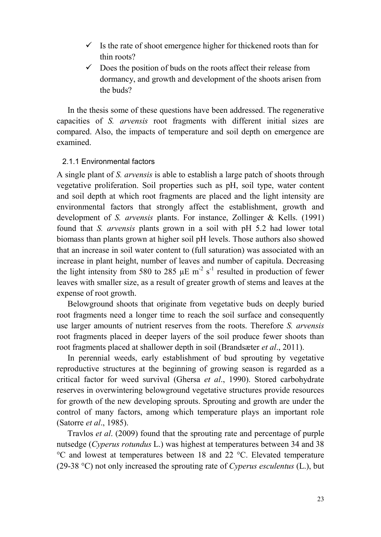- $\checkmark$  Is the rate of shoot emergence higher for thickened roots than for thin roots?
- $\checkmark$  Does the position of buds on the roots affect their release from dormancy, and growth and development of the shoots arisen from the buds?

In the thesis some of these questions have been addressed. The regenerative capacities of *S. arvensis* root fragments with different initial sizes are compared. Also, the impacts of temperature and soil depth on emergence are examined.

#### <span id="page-22-0"></span>2.1.1 Environmental factors

A single plant of *S. arvensis* is able to establish a large patch of shoots through vegetative proliferation. Soil properties such as pH, soil type, water content and soil depth at which root fragments are placed and the light intensity are environmental factors that strongly affect the establishment, growth and development of *S. arvensis* plants. For instance, Zollinger & Kells. (1991) found that *S. arvensis* plants grown in a soil with pH 5.2 had lower total biomass than plants grown at higher soil pH levels. Those authors also showed that an increase in soil water content to (full saturation) was associated with an increase in plant height, number of leaves and number of capitula. Decreasing the light intensity from 580 to 285  $\mu$ E m<sup>-2</sup> s<sup>-1</sup> resulted in production of fewer leaves with smaller size, as a result of greater growth of stems and leaves at the expense of root growth.

Belowground shoots that originate from vegetative buds on deeply buried root fragments need a longer time to reach the soil surface and consequently use larger amounts of nutrient reserves from the roots. Therefore *S. arvensis*  root fragments placed in deeper layers of the soil produce fewer shoots than root fragments placed at shallower depth in soil (Brandsæter *et al*., 2011).

In perennial weeds, early establishment of bud sprouting by vegetative reproductive structures at the beginning of growing season is regarded as a critical factor for weed survival (Ghersa *et al*., 1990). Stored carbohydrate reserves in overwintering belowground vegetative structures provide resources for growth of the new developing sprouts. Sprouting and growth are under the control of many factors, among which temperature plays an important role (Satorre *et al*., 1985).

Travlos *et al*. (2009) found that the sprouting rate and percentage of purple nutsedge (*Cyperus rotundus* L.) was highest at temperatures between 34 and 38 °C and lowest at temperatures between 18 and 22 °C. Elevated temperature (29-38 °C) not only increased the sprouting rate of *Cyperus esculentus* (L.), but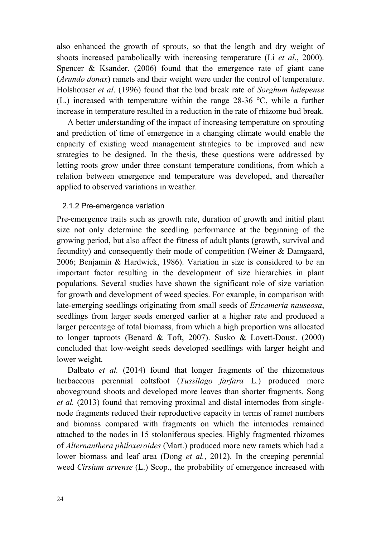also enhanced the growth of sprouts, so that the length and dry weight of shoots increased parabolically with increasing temperature (Li *et al*., 2000). Spencer & Ksander. (2006) found that the emergence rate of giant cane (*Arundo donax*) ramets and their weight were under the control of temperature. Holshouser *et al*. (1996) found that the bud break rate of *Sorghum halepense* (L.) increased with temperature within the range 28-36 °C, while a further increase in temperature resulted in a reduction in the rate of rhizome bud break.

A better understanding of the impact of increasing temperature on sprouting and prediction of time of emergence in a changing climate would enable the capacity of existing weed management strategies to be improved and new strategies to be designed. In the thesis, these questions were addressed by letting roots grow under three constant temperature conditions, from which a relation between emergence and temperature was developed, and thereafter applied to observed variations in weather.

#### <span id="page-23-0"></span>2.1.2 Pre-emergence variation

Pre-emergence traits such as growth rate, duration of growth and initial plant size not only determine the seedling performance at the beginning of the growing period, but also affect the fitness of adult plants (growth, survival and fecundity) and consequently their mode of competition (Weiner & Damgaard, 2006; Benjamin & Hardwick, 1986). Variation in size is considered to be an important factor resulting in the development of size hierarchies in plant populations. Several studies have shown the significant role of size variation for growth and development of weed species. For example, in comparison with late-emerging seedlings originating from small seeds of *Ericameria nauseosa*, seedlings from larger seeds emerged earlier at a higher rate and produced a larger percentage of total biomass, from which a high proportion was allocated to longer taproots (Benard & Toft, 2007). Susko & Lovett-Doust. (2000) concluded that low-weight seeds developed seedlings with larger height and lower weight.

Dalbato *et al.* (2014) found that longer fragments of the rhizomatous herbaceous perennial coltsfoot (*Tussilago farfara* L.) produced more aboveground shoots and developed more leaves than shorter fragments. Song *et al.* (2013) found that removing proximal and distal internodes from singlenode fragments reduced their reproductive capacity in terms of ramet numbers and biomass compared with fragments on which the internodes remained attached to the nodes in 15 stoloniferous species. Highly fragmented rhizomes of *Alternanthera philoxeroides* (Mart.) produced more new ramets which had a lower biomass and leaf area (Dong *et al.*, 2012). In the creeping perennial weed *Cirsium arvense* (L.) Scop., the probability of emergence increased with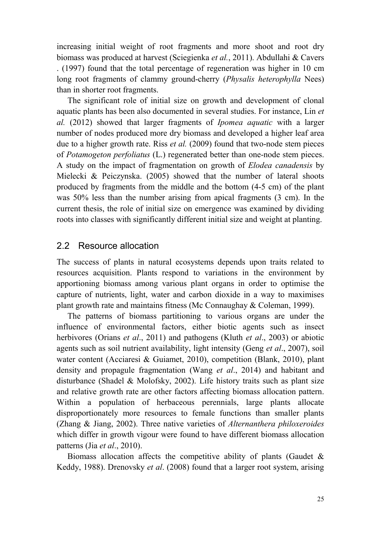increasing initial weight of root fragments and more shoot and root dry biomass was produced at harvest (Sciegienka *et al.*, 2011). Abdullahi & Cavers . (1997) found that the total percentage of regeneration was higher in 10 cm long root fragments of clammy ground-cherry (*Physalis heterophylla* Nees) than in shorter root fragments.

The significant role of initial size on growth and development of clonal aquatic plants has been also documented in several studies. For instance, Lin *et al.* (2012) showed that larger fragments of *Ipomea aquatic* with a larger number of nodes produced more dry biomass and developed a higher leaf area due to a higher growth rate. Riss *et al.* (2009) found that two-node stem pieces of *Potamogeton perfoliatus* (L.) regenerated better than one-node stem pieces. A study on the impact of fragmentation on growth of *Elodea canadensis* by Mielecki & Peiczynska. (2005) showed that the number of lateral shoots produced by fragments from the middle and the bottom (4-5 cm) of the plant was 50% less than the number arising from apical fragments (3 cm). In the current thesis, the role of initial size on emergence was examined by dividing roots into classes with significantly different initial size and weight at planting.

## <span id="page-24-0"></span>2.2 Resource allocation

The success of plants in natural ecosystems depends upon traits related to resources acquisition. Plants respond to variations in the environment by apportioning biomass among various plant organs in order to optimise the capture of nutrients, light, water and carbon dioxide in a way to maximises plant growth rate and maintains fitness (Mc Connaughay & Coleman, 1999).

The patterns of biomass partitioning to various organs are under the influence of environmental factors, either biotic agents such as insect herbivores (Orians *et al*., 2011) and pathogens (Kluth *et al*., 2003) or abiotic agents such as soil nutrient availability, light intensity (Geng *et al*., 2007), soil water content (Acciaresi & Guiamet, 2010), competition (Blank, 2010), plant density and propagule fragmentation (Wang *et al*., 2014) and habitant and disturbance (Shadel & Molofsky, 2002). Life history traits such as plant size and relative growth rate are other factors affecting biomass allocation pattern. Within a population of herbaceous perennials, large plants allocate disproportionately more resources to female functions than smaller plants (Zhang & Jiang, 2002). Three native varieties of *Alternanthera philoxeroides* which differ in growth vigour were found to have different biomass allocation patterns (Jia *et al*., 2010).

Biomass allocation affects the competitive ability of plants (Gaudet  $\&$ Keddy, 1988). Drenovsky *et al*. (2008) found that a larger root system, arising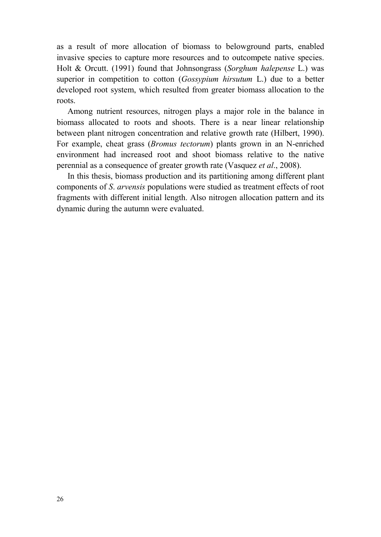as a result of more allocation of biomass to belowground parts, enabled invasive species to capture more resources and to outcompete native species. Holt & Orcutt. (1991) found that Johnsongrass (*Sorghum halepense* L.) was superior in competition to cotton (*Gossypium hirsutum* L.) due to a better developed root system, which resulted from greater biomass allocation to the roots.

Among nutrient resources, nitrogen plays a major role in the balance in biomass allocated to roots and shoots. There is a near linear relationship between plant nitrogen concentration and relative growth rate (Hilbert, 1990). For example, cheat grass (*Bromus tectorum*) plants grown in an N-enriched environment had increased root and shoot biomass relative to the native perennial as a consequence of greater growth rate (Vasquez *et al*., 2008).

In this thesis, biomass production and its partitioning among different plant components of *S*. *arvensis* populations were studied as treatment effects of root fragments with different initial length. Also nitrogen allocation pattern and its dynamic during the autumn were evaluated.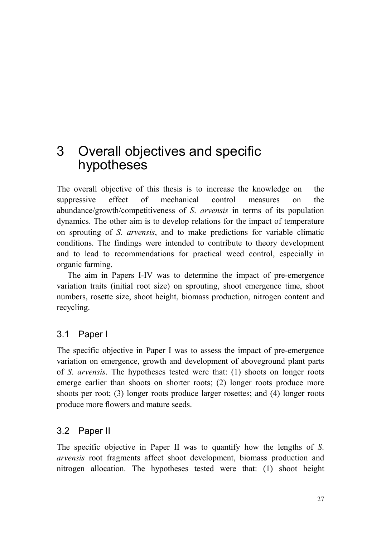## <span id="page-26-0"></span>3 Overall objectives and specific hypotheses

The overall objective of this thesis is to increase the knowledge on the suppressive effect of mechanical control measures on the abundance/growth/competitiveness of *S*. *arvensis* in terms of its population dynamics. The other aim is to develop relations for the impact of temperature on sprouting of *S*. *arvensis*, and to make predictions for variable climatic conditions. The findings were intended to contribute to theory development and to lead to recommendations for practical weed control, especially in organic farming.

The aim in Papers I-IV was to determine the impact of pre-emergence variation traits (initial root size) on sprouting, shoot emergence time, shoot numbers, rosette size, shoot height, biomass production, nitrogen content and recycling.

## <span id="page-26-1"></span>3.1 Paper I

The specific objective in Paper I was to assess the impact of pre-emergence variation on emergence, growth and development of aboveground plant parts of *S*. *arvensis*. The hypotheses tested were that: (1) shoots on longer roots emerge earlier than shoots on shorter roots; (2) longer roots produce more shoots per root; (3) longer roots produce larger rosettes; and (4) longer roots produce more flowers and mature seeds.

## <span id="page-26-2"></span>3.2 Paper II

The specific objective in Paper II was to quantify how the lengths of *S*. *arvensis* root fragments affect shoot development, biomass production and nitrogen allocation. The hypotheses tested were that: (1) shoot height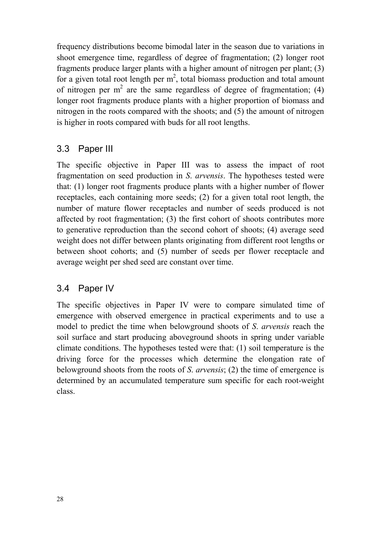frequency distributions become bimodal later in the season due to variations in shoot emergence time, regardless of degree of fragmentation; (2) longer root fragments produce larger plants with a higher amount of nitrogen per plant; (3) for a given total root length per  $m^2$ , total biomass production and total amount of nitrogen per  $m<sup>2</sup>$  are the same regardless of degree of fragmentation; (4) longer root fragments produce plants with a higher proportion of biomass and nitrogen in the roots compared with the shoots; and (5) the amount of nitrogen is higher in roots compared with buds for all root lengths.

## <span id="page-27-0"></span>3.3 Paper III

The specific objective in Paper III was to assess the impact of root fragmentation on seed production in *S*. *arvensis*. The hypotheses tested were that: (1) longer root fragments produce plants with a higher number of flower receptacles, each containing more seeds; (2) for a given total root length, the number of mature flower receptacles and number of seeds produced is not affected by root fragmentation; (3) the first cohort of shoots contributes more to generative reproduction than the second cohort of shoots; (4) average seed weight does not differ between plants originating from different root lengths or between shoot cohorts; and (5) number of seeds per flower receptacle and average weight per shed seed are constant over time.

## <span id="page-27-1"></span>3.4 Paper IV

The specific objectives in Paper IV were to compare simulated time of emergence with observed emergence in practical experiments and to use a model to predict the time when belowground shoots of *S*. *arvensis* reach the soil surface and start producing aboveground shoots in spring under variable climate conditions. The hypotheses tested were that: (1) soil temperature is the driving force for the processes which determine the elongation rate of belowground shoots from the roots of *S*. *arvensis*; (2) the time of emergence is determined by an accumulated temperature sum specific for each root-weight class.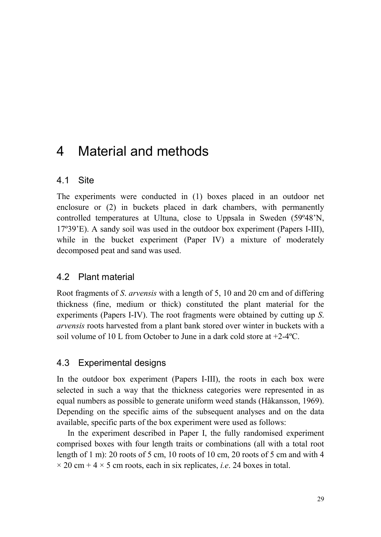## <span id="page-28-0"></span>4 Material and methods

## <span id="page-28-1"></span>4.1 Site

The experiments were conducted in (1) boxes placed in an outdoor net enclosure or (2) in buckets placed in dark chambers, with permanently controlled temperatures at Ultuna, close to Uppsala in Sweden (59º48'N, 17º39'E). A sandy soil was used in the outdoor box experiment (Papers I-III), while in the bucket experiment (Paper IV) a mixture of moderately decomposed peat and sand was used.

## <span id="page-28-2"></span>4.2 Plant material

Root fragments of *S*. *arvensis* with a length of 5, 10 and 20 cm and of differing thickness (fine, medium or thick) constituted the plant material for the experiments (Papers I-IV). The root fragments were obtained by cutting up *S*. *arvensis* roots harvested from a plant bank stored over winter in buckets with a soil volume of 10 L from October to June in a dark cold store at +2-4ºC.

## <span id="page-28-3"></span>4.3 Experimental designs

In the outdoor box experiment (Papers I-III), the roots in each box were selected in such a way that the thickness categories were represented in as equal numbers as possible to generate uniform weed stands (Håkansson, 1969). Depending on the specific aims of the subsequent analyses and on the data available, specific parts of the box experiment were used as follows:

In the experiment described in Paper I, the fully randomised experiment comprised boxes with four length traits or combinations (all with a total root length of 1 m): 20 roots of 5 cm, 10 roots of 10 cm, 20 roots of 5 cm and with 4  $\times$  20 cm + 4  $\times$  5 cm roots, each in six replicates, *i.e.* 24 boxes in total.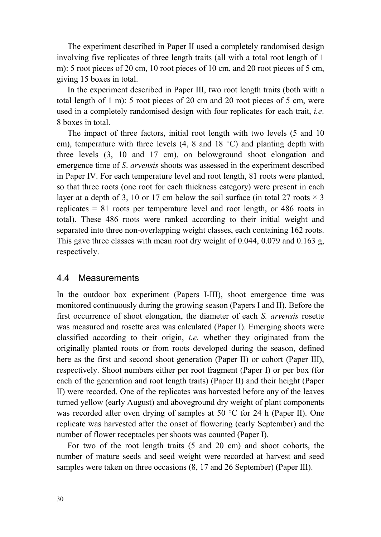The experiment described in Paper II used a completely randomised design involving five replicates of three length traits (all with a total root length of 1 m): 5 root pieces of 20 cm, 10 root pieces of 10 cm, and 20 root pieces of 5 cm, giving 15 boxes in total.

In the experiment described in Paper III, two root length traits (both with a total length of 1 m): 5 root pieces of 20 cm and 20 root pieces of 5 cm, were used in a completely randomised design with four replicates for each trait, *i.e*. 8 boxes in total.

The impact of three factors, initial root length with two levels (5 and 10 cm), temperature with three levels (4, 8 and 18 °C) and planting depth with three levels (3, 10 and 17 cm), on belowground shoot elongation and emergence time of *S*. *arvensis* shoots was assessed in the experiment described in Paper IV. For each temperature level and root length, 81 roots were planted, so that three roots (one root for each thickness category) were present in each layer at a depth of 3, 10 or 17 cm below the soil surface (in total 27 roots  $\times$  3 replicates = 81 roots per temperature level and root length, or 486 roots in total). These 486 roots were ranked according to their initial weight and separated into three non-overlapping weight classes, each containing 162 roots. This gave three classes with mean root dry weight of 0.044, 0.079 and 0.163 g, respectively.

### <span id="page-29-0"></span>4.4 Measurements

In the outdoor box experiment (Papers I-III), shoot emergence time was monitored continuously during the growing season (Papers I and II). Before the first occurrence of shoot elongation, the diameter of each *S. arvensis* rosette was measured and rosette area was calculated (Paper I). Emerging shoots were classified according to their origin, *i.e*. whether they originated from the originally planted roots or from roots developed during the season, defined here as the first and second shoot generation (Paper II) or cohort (Paper III), respectively. Shoot numbers either per root fragment (Paper I) or per box (for each of the generation and root length traits) (Paper II) and their height (Paper II) were recorded. One of the replicates was harvested before any of the leaves turned yellow (early August) and aboveground dry weight of plant components was recorded after oven drying of samples at 50 °C for 24 h (Paper II). One replicate was harvested after the onset of flowering (early September) and the number of flower receptacles per shoots was counted (Paper I).

For two of the root length traits (5 and 20 cm) and shoot cohorts, the number of mature seeds and seed weight were recorded at harvest and seed samples were taken on three occasions (8, 17 and 26 September) (Paper III).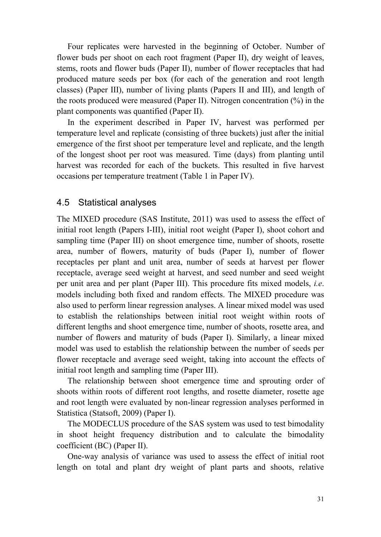Four replicates were harvested in the beginning of October. Number of flower buds per shoot on each root fragment (Paper II), dry weight of leaves, stems, roots and flower buds (Paper II), number of flower receptacles that had produced mature seeds per box (for each of the generation and root length classes) (Paper III), number of living plants (Papers II and III), and length of the roots produced were measured (Paper II). Nitrogen concentration (%) in the plant components was quantified (Paper II).

In the experiment described in Paper IV, harvest was performed per temperature level and replicate (consisting of three buckets) just after the initial emergence of the first shoot per temperature level and replicate, and the length of the longest shoot per root was measured. Time (days) from planting until harvest was recorded for each of the buckets. This resulted in five harvest occasions per temperature treatment (Table 1 in Paper IV).

#### <span id="page-30-0"></span>4.5 Statistical analyses

The MIXED procedure (SAS Institute, 2011) was used to assess the effect of initial root length (Papers I-III), initial root weight (Paper I), shoot cohort and sampling time (Paper III) on shoot emergence time, number of shoots, rosette area, number of flowers, maturity of buds (Paper I), number of flower receptacles per plant and unit area, number of seeds at harvest per flower receptacle, average seed weight at harvest, and seed number and seed weight per unit area and per plant (Paper III). This procedure fits mixed models, *i.e*. models including both fixed and random effects. The MIXED procedure was also used to perform linear regression analyses. A linear mixed model was used to establish the relationships between initial root weight within roots of different lengths and shoot emergence time, number of shoots, rosette area, and number of flowers and maturity of buds (Paper I). Similarly, a linear mixed model was used to establish the relationship between the number of seeds per flower receptacle and average seed weight, taking into account the effects of initial root length and sampling time (Paper III).

The relationship between shoot emergence time and sprouting order of shoots within roots of different root lengths, and rosette diameter, rosette age and root length were evaluated by non-linear regression analyses performed in Statistica (Statsoft, 2009) (Paper I).

The MODECLUS procedure of the SAS system was used to test bimodality in shoot height frequency distribution and to calculate the bimodality coefficient (BC) (Paper II).

One-way analysis of variance was used to assess the effect of initial root length on total and plant dry weight of plant parts and shoots, relative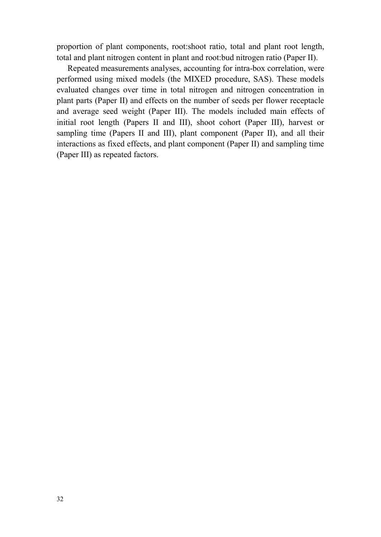proportion of plant components, root:shoot ratio, total and plant root length, total and plant nitrogen content in plant and root:bud nitrogen ratio (Paper II).

Repeated measurements analyses, accounting for intra-box correlation, were performed using mixed models (the MIXED procedure, SAS). These models evaluated changes over time in total nitrogen and nitrogen concentration in plant parts (Paper II) and effects on the number of seeds per flower receptacle and average seed weight (Paper III). The models included main effects of initial root length (Papers II and III), shoot cohort (Paper III), harvest or sampling time (Papers II and III), plant component (Paper II), and all their interactions as fixed effects, and plant component (Paper II) and sampling time (Paper III) as repeated factors.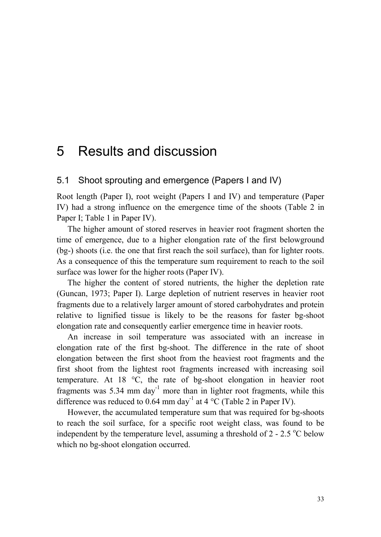## <span id="page-32-0"></span>5 Results and discussion

### <span id="page-32-1"></span>5.1 Shoot sprouting and emergence (Papers I and IV)

Root length (Paper I), root weight (Papers I and IV) and temperature (Paper IV) had a strong influence on the emergence time of the shoots (Table 2 in Paper I; Table 1 in Paper IV).

The higher amount of stored reserves in heavier root fragment shorten the time of emergence, due to a higher elongation rate of the first belowground (bg-) shoots (i.e. the one that first reach the soil surface), than for lighter roots. As a consequence of this the temperature sum requirement to reach to the soil surface was lower for the higher roots (Paper IV).

The higher the content of stored nutrients, the higher the depletion rate (Guncan, 1973; Paper I). Large depletion of nutrient reserves in heavier root fragments due to a relatively larger amount of stored carbohydrates and protein relative to lignified tissue is likely to be the reasons for faster bg-shoot elongation rate and consequently earlier emergence time in heavier roots.

An increase in soil temperature was associated with an increase in elongation rate of the first bg-shoot. The difference in the rate of shoot elongation between the first shoot from the heaviest root fragments and the first shoot from the lightest root fragments increased with increasing soil temperature. At 18 °C, the rate of bg-shoot elongation in heavier root fragments was  $5.34$  mm day<sup>-1</sup> more than in lighter root fragments, while this difference was reduced to 0.64 mm day<sup>-1</sup> at 4  $^{\circ}$ C (Table 2 in Paper IV).

However, the accumulated temperature sum that was required for bg-shoots to reach the soil surface, for a specific root weight class, was found to be independent by the temperature level, assuming a threshold of  $2 - 2.5$  °C below which no bg-shoot elongation occurred.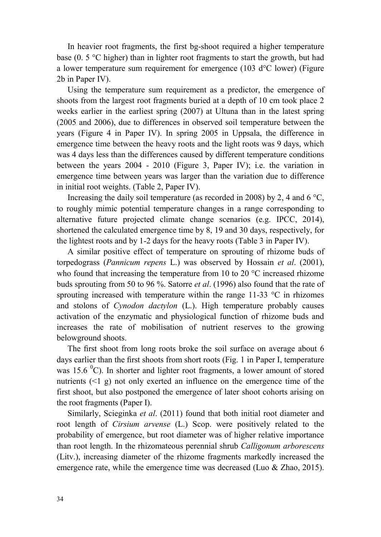In heavier root fragments, the first bg-shoot required a higher temperature base (0. 5 °C higher) than in lighter root fragments to start the growth, but had a lower temperature sum requirement for emergence (103 d°C lower) (Figure 2b in Paper IV).

Using the temperature sum requirement as a predictor, the emergence of shoots from the largest root fragments buried at a depth of 10 cm took place 2 weeks earlier in the earliest spring (2007) at Ultuna than in the latest spring (2005 and 2006), due to differences in observed soil temperature between the years (Figure 4 in Paper IV). In spring 2005 in Uppsala, the difference in emergence time between the heavy roots and the light roots was 9 days, which was 4 days less than the differences caused by different temperature conditions between the years 2004 - 2010 (Figure 3, Paper IV); i.e. the variation in emergence time between years was larger than the variation due to difference in initial root weights. (Table 2, Paper IV).

Increasing the daily soil temperature (as recorded in 2008) by 2, 4 and 6  $^{\circ}C$ , to roughly mimic potential temperature changes in a range corresponding to alternative future projected climate change scenarios (e.g. IPCC, 2014), shortened the calculated emergence time by 8, 19 and 30 days, respectively, for the lightest roots and by 1-2 days for the heavy roots (Table 3 in Paper IV).

A similar positive effect of temperature on sprouting of rhizome buds of torpedograss (*Pannicum repens* L.) was observed by Hossain *et al*. (2001), who found that increasing the temperature from 10 to 20 °C increased rhizome buds sprouting from 50 to 96 %. Satorre *et al*. (1996) also found that the rate of sprouting increased with temperature within the range 11-33 °C in rhizomes and stolons of *Cynodon dactylon* (L.). High temperature probably causes activation of the enzymatic and physiological function of rhizome buds and increases the rate of mobilisation of nutrient reserves to the growing belowground shoots.

The first shoot from long roots broke the soil surface on average about 6 days earlier than the first shoots from short roots (Fig. 1 in Paper I, temperature was 15.6  $^0$ C). In shorter and lighter root fragments, a lower amount of stored nutrients (<1 g) not only exerted an influence on the emergence time of the first shoot, but also postponed the emergence of later shoot cohorts arising on the root fragments (Paper I).

Similarly, Scieginka *et al*. (2011) found that both initial root diameter and root length of *Cirsium arvense* (L.) Scop. were positively related to the probability of emergence, but root diameter was of higher relative importance than root length. In the rhizomateous perennial shrub *Calligonum arborescens* (Litv.), increasing diameter of the rhizome fragments markedly increased the emergence rate, while the emergence time was decreased (Luo & Zhao, 2015).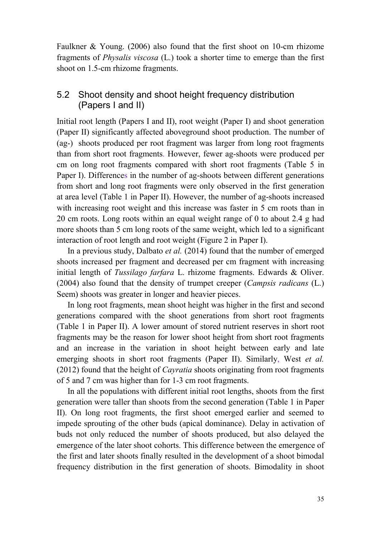Faulkner & Young. (2006) also found that the first shoot on 10-cm rhizome fragments of *Physalis viscosa* (L.) took a shorter time to emerge than the first shoot on 1.5-cm rhizome fragments.

## <span id="page-34-0"></span>5.2 Shoot density and shoot height frequency distribution (Papers I and II)

Initial root length (Papers I and II), root weight (Paper I) and shoot generation (Paper II) significantly affected aboveground shoot production. The number of (ag-) shoots produced per root fragment was larger from long root fragments than from short root fragments. However, fewer ag-shoots were produced per cm on long root fragments compared with short root fragments (Table 5 in Paper I). Differences in the number of ag-shoots between different generations from short and long root fragments were only observed in the first generation at area level (Table 1 in Paper II). However, the number of ag-shoots increased with increasing root weight and this increase was faster in 5 cm roots than in 20 cm roots. Long roots within an equal weight range of 0 to about 2.4 g had more shoots than 5 cm long roots of the same weight, which led to a significant interaction of root length and root weight (Figure 2 in Paper I).

In a previous study, Dalbato *et al.* (2014) found that the number of emerged shoots increased per fragment and decreased per cm fragment with increasing initial length of *Tussilago farfara* L. rhizome fragments. Edwards & Oliver. (2004) also found that the density of trumpet creeper (*Campsis radicans* (L.) Seem) shoots was greater in longer and heavier pieces.

In long root fragments, mean shoot height was higher in the first and second generations compared with the shoot generations from short root fragments (Table 1 in Paper II). A lower amount of stored nutrient reserves in short root fragments may be the reason for lower shoot height from short root fragments and an increase in the variation in shoot height between early and late emerging shoots in short root fragments (Paper II). Similarly, West *et al.* (2012) found that the height of *Cayratia* shoots originating from root fragments of 5 and 7 cm was higher than for 1-3 cm root fragments.

In all the populations with different initial root lengths, shoots from the first generation were taller than shoots from the second generation (Table 1 in Paper II). On long root fragments, the first shoot emerged earlier and seemed to impede sprouting of the other buds (apical dominance). Delay in activation of buds not only reduced the number of shoots produced, but also delayed the emergence of the later shoot cohorts. This difference between the emergence of the first and later shoots finally resulted in the development of a shoot bimodal frequency distribution in the first generation of shoots. Bimodality in shoot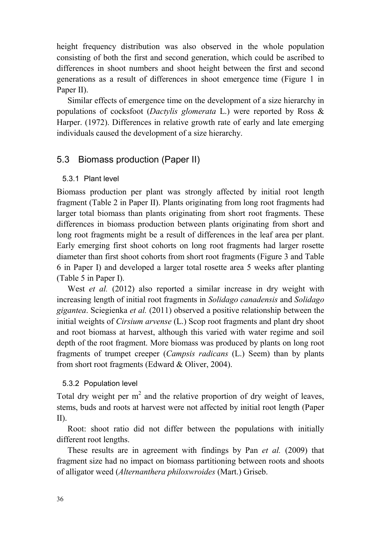height frequency distribution was also observed in the whole population consisting of both the first and second generation, which could be ascribed to differences in shoot numbers and shoot height between the first and second generations as a result of differences in shoot emergence time (Figure 1 in Paper II).

Similar effects of emergence time on the development of a size hierarchy in populations of cocksfoot (*Dactylis glomerata* L.) were reported by Ross & Harper. (1972). Differences in relative growth rate of early and late emerging individuals caused the development of a size hierarchy.

## <span id="page-35-0"></span>5.3 Biomass production (Paper II)

#### <span id="page-35-1"></span>5.3.1 Plant level

Biomass production per plant was strongly affected by initial root length fragment (Table 2 in Paper II). Plants originating from long root fragments had larger total biomass than plants originating from short root fragments. These differences in biomass production between plants originating from short and long root fragments might be a result of differences in the leaf area per plant. Early emerging first shoot cohorts on long root fragments had larger rosette diameter than first shoot cohorts from short root fragments (Figure 3 and Table 6 in Paper I) and developed a larger total rosette area 5 weeks after planting (Table 5 in Paper I).

West *et al.* (2012) also reported a similar increase in dry weight with increasing length of initial root fragments in *Solidago canadensis* and *Solidago gigantea*. Sciegienka *et al.* (2011) observed a positive relationship between the initial weights of *Cirsium arvense* (L.) Scop root fragments and plant dry shoot and root biomass at harvest, although this varied with water regime and soil depth of the root fragment. More biomass was produced by plants on long root fragments of trumpet creeper (*Campsis radicans* (L.) Seem) than by plants from short root fragments (Edward & Oliver, 2004).

#### <span id="page-35-2"></span>5.3.2 Population level

Total dry weight per  $m<sup>2</sup>$  and the relative proportion of dry weight of leaves, stems, buds and roots at harvest were not affected by initial root length (Paper II).

Root: shoot ratio did not differ between the populations with initially different root lengths.

These results are in agreement with findings by Pan *et al.* (2009) that fragment size had no impact on biomass partitioning between roots and shoots of alligator weed (*Alternanthera philoxwroides* (Mart.) Griseb.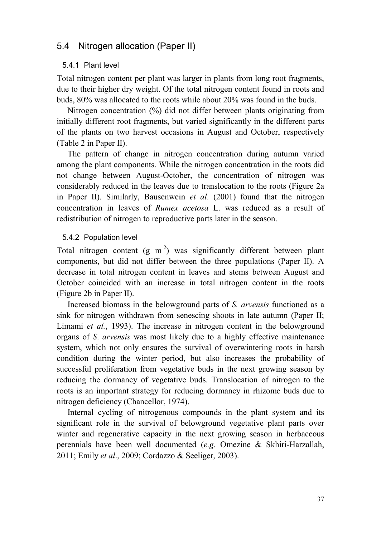### <span id="page-36-0"></span>5.4 Nitrogen allocation (Paper II)

#### <span id="page-36-1"></span>5.4.1 Plant level

Total nitrogen content per plant was larger in plants from long root fragments, due to their higher dry weight. Of the total nitrogen content found in roots and buds, 80% was allocated to the roots while about 20% was found in the buds.

Nitrogen concentration (%) did not differ between plants originating from initially different root fragments, but varied significantly in the different parts of the plants on two harvest occasions in August and October, respectively (Table 2 in Paper II).

The pattern of change in nitrogen concentration during autumn varied among the plant components. While the nitrogen concentration in the roots did not change between August-October, the concentration of nitrogen was considerably reduced in the leaves due to translocation to the roots (Figure 2a in Paper II). Similarly, Bausenwein *et al*. (2001) found that the nitrogen concentration in leaves of *Rumex acetosa* L. was reduced as a result of redistribution of nitrogen to reproductive parts later in the season.

#### <span id="page-36-2"></span>5.4.2 Population level

Total nitrogen content  $(g \ m^2)$  was significantly different between plant components, but did not differ between the three populations (Paper II). A decrease in total nitrogen content in leaves and stems between August and October coincided with an increase in total nitrogen content in the roots (Figure 2b in Paper II).

Increased biomass in the belowground parts of *S. arvensis* functioned as a sink for nitrogen withdrawn from senescing shoots in late autumn (Paper II; Limami *et al.*, 1993). The increase in nitrogen content in the belowground organs of *S*. *arvensis* was most likely due to a highly effective maintenance system, which not only ensures the survival of overwintering roots in harsh condition during the winter period, but also increases the probability of successful proliferation from vegetative buds in the next growing season by reducing the dormancy of vegetative buds. Translocation of nitrogen to the roots is an important strategy for reducing dormancy in rhizome buds due to nitrogen deficiency (Chancellor, 1974).

Internal cycling of nitrogenous compounds in the plant system and its significant role in the survival of belowground vegetative plant parts over winter and regenerative capacity in the next growing season in herbaceous perennials have been well documented (*e.g*. Omezine & Skhiri-Harzallah, 2011; Emily *et al*., 2009; Cordazzo & Seeliger, 2003).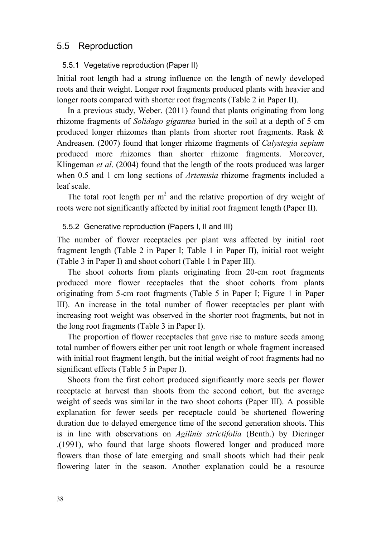## <span id="page-37-0"></span>5.5 Reproduction

#### <span id="page-37-1"></span>5.5.1 Vegetative reproduction (Paper II)

Initial root length had a strong influence on the length of newly developed roots and their weight. Longer root fragments produced plants with heavier and longer roots compared with shorter root fragments (Table 2 in Paper II).

In a previous study, Weber. (2011) found that plants originating from long rhizome fragments of *Solidago gigant*e*a* buried in the soil at a depth of 5 cm produced longer rhizomes than plants from shorter root fragments. Rask & Andreasen. (2007) found that longer rhizome fragments of *Calystegia sepium* produced more rhizomes than shorter rhizome fragments. Moreover, Klingeman *et al*. (2004) found that the length of the roots produced was larger when 0.5 and 1 cm long sections of *Artemisia* rhizome fragments included a leaf scale.

The total root length per  $m<sup>2</sup>$  and the relative proportion of dry weight of roots were not significantly affected by initial root fragment length (Paper II).

<span id="page-37-2"></span>5.5.2 Generative reproduction (Papers I, II and III)

The number of flower receptacles per plant was affected by initial root fragment length (Table 2 in Paper I; Table 1 in Paper II), initial root weight (Table 3 in Paper I) and shoot cohort (Table 1 in Paper III).

The shoot cohorts from plants originating from 20-cm root fragments produced more flower receptacles that the shoot cohorts from plants originating from 5-cm root fragments (Table 5 in Paper I; Figure 1 in Paper III). An increase in the total number of flower receptacles per plant with increasing root weight was observed in the shorter root fragments, but not in the long root fragments (Table 3 in Paper I).

The proportion of flower receptacles that gave rise to mature seeds among total number of flowers either per unit root length or whole fragment increased with initial root fragment length, but the initial weight of root fragments had no significant effects (Table 5 in Paper I).

Shoots from the first cohort produced significantly more seeds per flower receptacle at harvest than shoots from the second cohort, but the average weight of seeds was similar in the two shoot cohorts (Paper III). A possible explanation for fewer seeds per receptacle could be shortened flowering duration due to delayed emergence time of the second generation shoots. This is in line with observations on *Agilinis strictifolia* (Benth.) by Dieringer .(1991), who found that large shoots flowered longer and produced more flowers than those of late emerging and small shoots which had their peak flowering later in the season. Another explanation could be a resource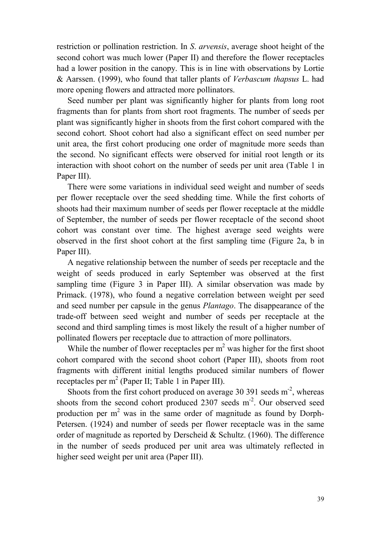restriction or pollination restriction. In *S*. *arvensis*, average shoot height of the second cohort was much lower (Paper II) and therefore the flower receptacles had a lower position in the canopy. This is in line with observations by Lortie & Aarssen. (1999), who found that taller plants of *Verbascum thapsus* L. had more opening flowers and attracted more pollinators.

Seed number per plant was significantly higher for plants from long root fragments than for plants from short root fragments. The number of seeds per plant was significantly higher in shoots from the first cohort compared with the second cohort. Shoot cohort had also a significant effect on seed number per unit area, the first cohort producing one order of magnitude more seeds than the second. No significant effects were observed for initial root length or its interaction with shoot cohort on the number of seeds per unit area (Table 1 in Paper III).

There were some variations in individual seed weight and number of seeds per flower receptacle over the seed shedding time. While the first cohorts of shoots had their maximum number of seeds per flower receptacle at the middle of September, the number of seeds per flower receptacle of the second shoot cohort was constant over time. The highest average seed weights were observed in the first shoot cohort at the first sampling time (Figure 2a, b in Paper III).

A negative relationship between the number of seeds per receptacle and the weight of seeds produced in early September was observed at the first sampling time (Figure 3 in Paper III). A similar observation was made by Primack. (1978), who found a negative correlation between weight per seed and seed number per capsule in the genus *Plantago*. The disappearance of the trade-off between seed weight and number of seeds per receptacle at the second and third sampling times is most likely the result of a higher number of pollinated flowers per receptacle due to attraction of more pollinators.

While the number of flower receptacles per  $m<sup>2</sup>$  was higher for the first shoot cohort compared with the second shoot cohort (Paper III), shoots from root fragments with different initial lengths produced similar numbers of flower receptacles per m<sup>2</sup> (Paper II; Table 1 in Paper III).

Shoots from the first cohort produced on average 30 391 seeds  $m<sup>2</sup>$ , whereas shoots from the second cohort produced  $2307$  seeds  $m<sup>2</sup>$ . Our observed seed production per  $m<sup>2</sup>$  was in the same order of magnitude as found by Dorph-Petersen. (1924) and number of seeds per flower receptacle was in the same order of magnitude as reported by Derscheid  $&$  Schultz. (1960). The difference in the number of seeds produced per unit area was ultimately reflected in higher seed weight per unit area (Paper III).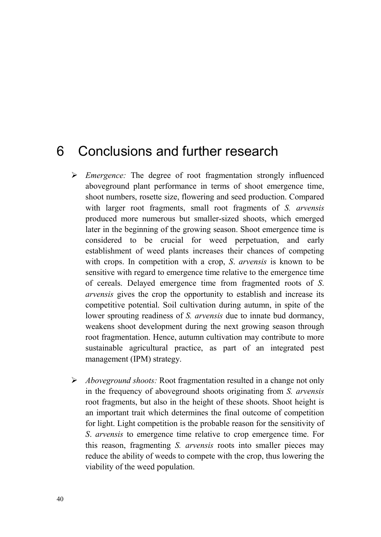## <span id="page-39-0"></span>6 Conclusions and further research

- *Emergence:* The degree of root fragmentation strongly influenced aboveground plant performance in terms of shoot emergence time, shoot numbers, rosette size, flowering and seed production. Compared with larger root fragments, small root fragments of *S. arvensis* produced more numerous but smaller-sized shoots, which emerged later in the beginning of the growing season. Shoot emergence time is considered to be crucial for weed perpetuation, and early establishment of weed plants increases their chances of competing with crops. In competition with a crop, *S*. *arvensis* is known to be sensitive with regard to emergence time relative to the emergence time of cereals. Delayed emergence time from fragmented roots of *S*. *arvensis* gives the crop the opportunity to establish and increase its competitive potential. Soil cultivation during autumn, in spite of the lower sprouting readiness of *S. arvensis* due to innate bud dormancy, weakens shoot development during the next growing season through root fragmentation. Hence, autumn cultivation may contribute to more sustainable agricultural practice, as part of an integrated pest management (IPM) strategy.
- *Aboveground shoots:* Root fragmentation resulted in a change not only in the frequency of aboveground shoots originating from *S. arvensis* root fragments, but also in the height of these shoots. Shoot height is an important trait which determines the final outcome of competition for light. Light competition is the probable reason for the sensitivity of *S*. *arvensis* to emergence time relative to crop emergence time. For this reason, fragmenting *S. arvensis* roots into smaller pieces may reduce the ability of weeds to compete with the crop, thus lowering the viability of the weed population.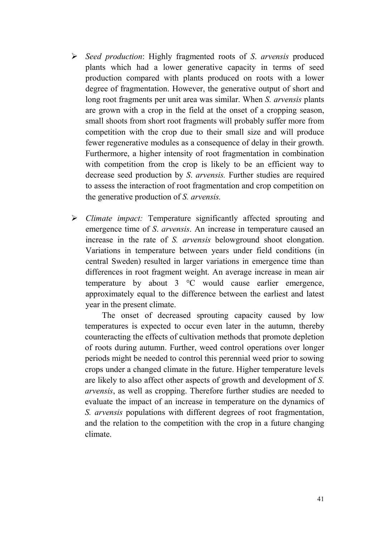- *Seed production*: Highly fragmented roots of *S*. *arvensis* produced plants which had a lower generative capacity in terms of seed production compared with plants produced on roots with a lower degree of fragmentation. However, the generative output of short and long root fragments per unit area was similar. When *S. arvensis* plants are grown with a crop in the field at the onset of a cropping season, small shoots from short root fragments will probably suffer more from competition with the crop due to their small size and will produce fewer regenerative modules as a consequence of delay in their growth. Furthermore, a higher intensity of root fragmentation in combination with competition from the crop is likely to be an efficient way to decrease seed production by *S*. *arvensis.* Further studies are required to assess the interaction of root fragmentation and crop competition on the generative production of *S. arvensis.*
- *Climate impact:* Temperature significantly affected sprouting and emergence time of *S*. *arvensis*. An increase in temperature caused an increase in the rate of *S. arvensis* belowground shoot elongation. Variations in temperature between years under field conditions (in central Sweden) resulted in larger variations in emergence time than differences in root fragment weight. An average increase in mean air temperature by about 3 °C would cause earlier emergence, approximately equal to the difference between the earliest and latest year in the present climate.

The onset of decreased sprouting capacity caused by low temperatures is expected to occur even later in the autumn, thereby counteracting the effects of cultivation methods that promote depletion of roots during autumn. Further, weed control operations over longer periods might be needed to control this perennial weed prior to sowing crops under a changed climate in the future. Higher temperature levels are likely to also affect other aspects of growth and development of *S*. *arvensis*, as well as cropping. Therefore further studies are needed to evaluate the impact of an increase in temperature on the dynamics of *S. arvensis* populations with different degrees of root fragmentation, and the relation to the competition with the crop in a future changing climate.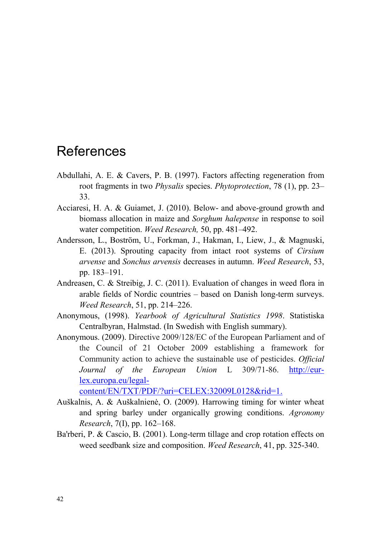## <span id="page-41-0"></span>References

- Abdullahi, A. E. & Cavers, P. B. (1997). Factors affecting regeneration from root fragments in two *Physalis* species. *Phytoprotection*, 78 (1), pp. 23– 33.
- Acciaresi, H. A. & Guiamet, J. (2010). Below- and above-ground growth and biomass allocation in maize and *Sorghum halepense* in response to soil water competition. *Weed Research,* 50, pp. 481–492.
- Andersson, L., Boström, U., Forkman, J., Hakman, I., Liew, J., & Magnuski, E. (2013). Sprouting capacity from intact root systems of *Cirsium arvense* and *Sonchus arvensis* decreases in autumn. *Weed Research*, 53, pp. 183–191.
- Andreasen, C. & Streibig, J. C. (2011). Evaluation of changes in weed flora in arable fields of Nordic countries – based on Danish long-term surveys. *Weed Research*, 51, pp. 214–226.
- Anonymous, (1998). *Yearbook of Agricultural Statistics 1998*. Statistiska Centralbyran, Halmstad. (In Swedish with English summary).
- Anonymous. (2009). Directive 2009/128/EC of the European Parliament and of the Council of 21 October 2009 establishing a framework for Community action to achieve the sustainable use of pesticides. *Official Journal of the European Union* L 309/71-86. [http://eur](http://eur-lex.europa.eu/legal-content/EN/TXT/PDF/?uri=CELEX:32009L0128&rid=1)[lex.europa.eu/legal-](http://eur-lex.europa.eu/legal-content/EN/TXT/PDF/?uri=CELEX:32009L0128&rid=1)

[content/EN/TXT/PDF/?uri=CELEX:32009L0128&rid=1.](http://eur-lex.europa.eu/legal-content/EN/TXT/PDF/?uri=CELEX:32009L0128&rid=1)

- Auškalnis, A. & Auškalnienė, O. (2009). Harrowing timing for winter wheat and spring barley under organically growing conditions. *Agronomy Research*, 7(I), pp. 162–168.
- Ba'rberi, P. & Cascio, B. (2001). Long-term tillage and crop rotation effects on weed seedbank size and composition. *Weed Research*, 41, pp. 325-340.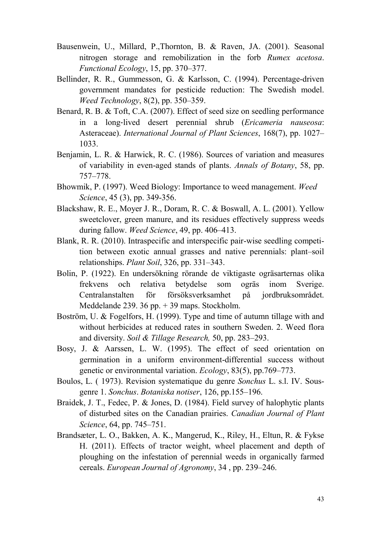- Bausenwein, U., Millard, P.,Thornton, B. & Raven, JA. (2001). Seasonal nitrogen storage and remobilization in the forb *Rumex acetosa*. *Functional Ecology*, 15, pp. 370–377.
- Bellinder, R. R., Gummesson, G. & Karlsson, C. (1994). Percentage-driven government mandates for pesticide reduction: The Swedish model. *Weed Technology*, 8(2), pp. 350–359.
- Benard, R. B. & Toft, C.A. (2007). Effect of seed size on seedling performance in a long‐lived desert perennial shrub (*Ericameria nauseosa*: Asteraceae). *International Journal of Plant Sciences*, 168(7), pp. 1027– 1033.
- Benjamin, L. R. & Harwick, R. C. (1986). Sources of variation and measures of variability in even-aged stands of plants. *Annals of Botany*, 58, pp. 757–778.
- Bhowmik, P. (1997). Weed Biology: Importance to weed management. *Weed Science*, 45 (3), pp. 349-356.
- Blackshaw, R. E., Moyer J. R., Doram, R. C. & Boswall, A. L. (2001). Yellow sweetclover, green manure, and its residues effectively suppress weeds during fallow. *Weed Science*, 49, pp. 406–413.
- Blank, R. R. (2010). Intraspecific and interspecific pair-wise seedling competition between exotic annual grasses and native perennials: plant–soil relationships. *Plant Soil*, 326, pp. 331–343.
- Bolin, P. (1922). En undersökning rörande de viktigaste ogräsarternas olika frekvens och relativa betydelse som ogräs inom Sverige. Centralanstalten för försöksverksamhet på jordbruksområdet. Meddelande 239. 36 pp. + 39 maps. Stockholm.
- Boström, U. & Fogelfors, H. (1999). Type and time of autumn tillage with and without herbicides at reduced rates in southern Sweden. 2. Weed flora and diversity. *Soil & Tillage Research,* 50, pp. 283–293.
- Bosy, J. & Aarssen, L. W. (1995). The effect of seed orientation on germination in a uniform environment-differential success without genetic or environmental variation. *Ecology*, 83(5), pp.769–773.
- Boulos, L. ( 1973). Revision systematique du genre *Sonchus* L. s.l. IV. Sousgenre 1. *Sonchus*. *Botaniska notiser*, 126, pp.155–196.
- Braidek, J. T., Fedec, P. & Jones, D. (1984). Field survey of halophytic plants of disturbed sites on the Canadian prairies. *Canadian Journal of Plant Science*, 64, pp. 745–751.
- Brandsæter, L. O., Bakken, A. K., Mangerud, K., Riley, H., Eltun, R. & Fykse H. (2011). Effects of tractor weight, wheel placement and depth of ploughing on the infestation of perennial weeds in organically farmed cereals. *European Journal of Agronomy*, 34 , pp. 239–246.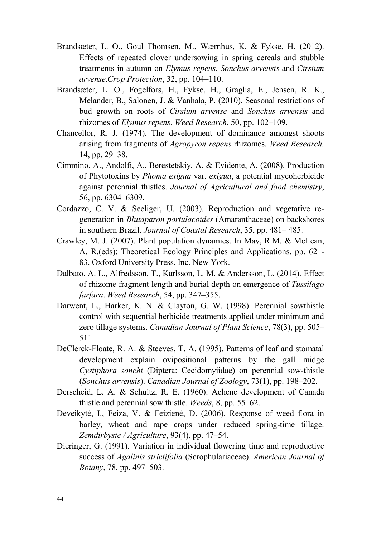- Brandsæter, L. O., Goul Thomsen, M., Wærnhus, K. & Fykse, H. (2012). Effects of repeated clover undersowing in spring cereals and stubble treatments in autumn on *Elymus repens*, *Sonchus arvensis* and *Cirsium arvense*.*Crop Protection*, 32, pp. 104–110.
- Brandsæter, L. O., Fogelfors, H., Fykse, H., Graglia, E., Jensen, R. K., Melander, B., Salonen, J. & Vanhala, P. (2010). Seasonal restrictions of bud growth on roots of *Cirsium arvense* and *Sonchus arvensis* and rhizomes of *Elymus repens*. *Weed Research*, 50, pp. 102–109.
- Chancellor, R. J. (1974). The development of dominance amongst shoots arising from fragments of *Agropyron repens* rhizomes. *Weed Research,* 14, pp. 29–38.
- Cimmino, A., Andolfi, A., Berestetskiy, A. & Evidente, A. (2008). Production of Phytotoxins by *Phoma exigua* var. *exigua*, a potential mycoherbicide against perennial thistles. *Journal of Agricultural and food chemistry*, 56, pp. 6304–6309.
- Cordazzo, C. V. & Seeliger, U. (2003). Reproduction and vegetative regeneration in *Blutaparon portulacoides* (Amaranthaceae) on backshores in southern Brazil. *Journal of Coastal Research*, 35, pp. 481– 485.
- Crawley, M. J. (2007). Plant population dynamics. In May, R.M. & McLean, A. R.(eds): Theoretical Ecology Principles and Applications. pp. 62–- 83. Oxford University Press. Inc. New York.
- Dalbato, A. L., Alfredsson, T., Karlsson, L. M. & Andersson, L. (2014). Effect of rhizome fragment length and burial depth on emergence of *Tussilago farfara*. *Weed Research*, 54, pp. 347–355.
- Darwent, L., Harker, K. N. & Clayton, G. W. (1998). Perennial sowthistle control with sequential herbicide treatments applied under minimum and zero tillage systems. *Canadian Journal of Plant Science*, 78(3), pp. 505– 511.
- DeClerck-Floate, R. A. & Steeves, T. A. (1995). Patterns of leaf and stomatal development explain ovipositional patterns by the gall midge *Cystiphora sonchi* (Diptera: Cecidomyiidae) on perennial sow-thistle (*Sonchus arvensis*). *Canadian Journal of Zoology*, 73(1), pp. 198–202.
- Derscheid, L. A. & Schultz, R. E. (1960). Achene development of Canada thistle and perennial sow thistle. *Weeds*, 8, pp. 55–62.
- Deveikytė, I., Feiza, V. & Feizienė, D. (2006). Response of weed flora in barley, wheat and rape crops under reduced spring-time tillage. *Zemdirbyste / Agriculture*, 93(4), pp. 47–54.
- Dieringer, G. (1991). Variation in individual flowering time and reproductive success of *Agalinis strictifolia* (Scrophulariaceae). *American Journal of Botany*, 78, pp. 497–503.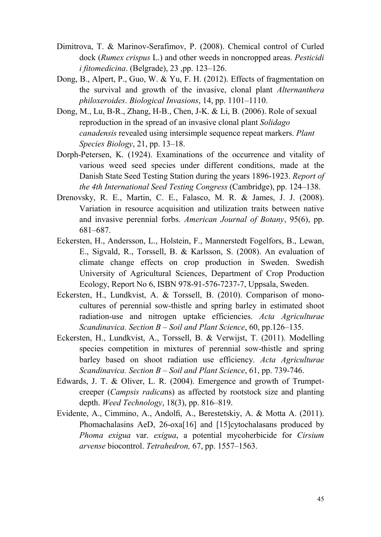- Dimitrova, T. & Marinov-Serafimov, P. (2008). Chemical control of Curled dock (*Rumex crispus* L.) and other weeds in noncropped areas. *Pesticidi i fitomedicina*. (Belgrade), 23 ,pp. 123–126.
- Dong, B., Alpert, P., Guo, W. & Yu, F. H. (2012). Effects of fragmentation on the survival and growth of the invasive, clonal plant *Alternanthera philoxeroides*. *Biological Invasions*, 14, pp. 1101–1110.
- Dong, M., Lu, B-R., Zhang, H-B., Chen, J-K. & Li, B. (2006). Role of sexual reproduction in the spread of an invasive clonal plant *Solidago canadensis* revealed using intersimple sequence repeat markers. *Plant Species Biology*, 21, pp. 13–18.
- Dorph-Petersen, K. (1924). Examinations of the occurrence and vitality of various weed seed species under different conditions, made at the Danish State Seed Testing Station during the years 1896-1923. *Report of the 4th International Seed Testing Congress* (Cambridge), pp. 124–138.
- Drenovsky, R. E., Martin, C. E., Falasco, M. R. & James, J. J. (2008). Variation in resource acquisition and utilization traits between native and invasive perennial forbs. *American Journal of Botany*, 95(6), pp. 681–687.
- Eckersten, H., Andersson, L., Holstein, F., Mannerstedt Fogelfors, B., Lewan, E., Sigvald, R., Torssell, B. & Karlsson, S. (2008). An evaluation of climate change effects on crop production in Sweden. Swedish University of Agricultural Sciences, Department of Crop Production Ecology, Report No 6, ISBN 978-91-576-7237-7, Uppsala, Sweden.
- Eckersten, H., Lundkvist, A. & Torssell, B. (2010). Comparison of monocultures of perennial sow-thistle and spring barley in estimated shoot radiation-use and nitrogen uptake efficiencies. *Acta Agriculturae Scandinavica. Section B – Soil and Plant Science*, 60, pp.126–135.
- Eckersten, H., Lundkvist, A., Torssell, B. & Verwijst, T. (2011). Modelling species competition in mixtures of perennial sow-thistle and spring barley based on shoot radiation use efficiency. *Acta Agriculturae Scandinavica. Section B – Soil and Plant Science*, 61, pp. 739-746.
- Edwards, J. T. & Oliver, L. R. (2004). Emergence and growth of Trumpetcreeper (*Campsis radica*ns) as affected by rootstock size and planting depth. *Weed Technology*, 18(3), pp. 816–819.
- Evidente, A., Cimmino, A., Andolfi, A., Berestetskiy, A. & Motta A. (2011). Phomachalasins AeD, 26-oxa<sup>[16]</sup> and [15]cytochalasans produced by *Phoma exigua* var. *exigua*, a potential mycoherbicide for *Cirsium arvense* biocontrol. *Tetrahedron,* 67, pp. 1557–1563.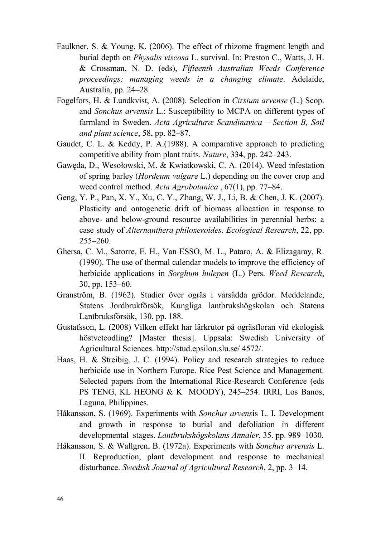- Faulkner, S. & Young, K. (2006). The effect of rhizome fragment length and burial depth on *Physalis viscosa* L. survival. In: Preston C., Watts, J. H. & Crossman, N. D. (eds), *Fifteenth Australian Weeds Conference proceedings: managing weeds in a changing climate*. Adelaide, Australia, pp. 24–28.
- Fogelfors, H. & Lundkvist, A. (2008). Selection in *Cirsium arvense* (L.) Scop. and *Sonchus arvensis* L.: Susceptibility to MCPA on different types of farmland in Sweden. *Acta Agriculturæ Scandinavica* – *Section B, Soil and plant science*, 58, pp. 82–87.
- Gaudet, C. L. & Keddy, P. A.(1988). A comparative approach to predicting competitive ability from plant traits. *Nature*, 334, pp. 242–243.
- Gawęda, D., Wesołowski, M. & Kwiatkowski, C. A. (2014). Weed infestation of spring barley (*Hordeum vulgare* L.) depending on the cover crop and weed control method. *Acta Agrobotanica* , 67(1), pp. 77–84.
- Geng, Y. P., Pan, X. Y., Xu, C. Y., Zhang, W. J., Li, B. & Chen, J. K. (2007). Plasticity and ontogenetic drift of biomass allocation in response to above- and below-ground resource availabilities in perennial herbs: a case study of *Alternanthera philoxeroides*. *Ecological Research*, 22, pp. 255–260.
- Ghersa, C. M., Satorre, E. H., Van ESSO, M. L., Pataro, A. & Elizagaray, R. (1990). The use of thermal calendar models to improve the efficiency of herbicide applications in *Sorghum hulepen* (L.) Pers. *Weed Research*, 30, pp. 153–60.
- Granström, B. (1962). Studier över ogräs i vårsådda grödor. Meddelande, Statens Jordbrukförsök, Kungliga lantbrukshögskolan och Statens Lantbruksförsök, 130, pp. 188.
- Gustafsson, L. (2008) Vilken effekt har lärkrutor på ogräsfloran vid ekologisk höstveteodling? [Master thesis]. Uppsala: Swedish University of Agricultural Sciences. http://stud.epsilon.slu.se/ 4572/.
- Haas, H. & Streibig, J. C. (1994). Policy and research strategies to reduce herbicide use in Northern Europe. Rice Pest Science and Management. Selected papers from the International Rice-Research Conference (eds PS TENG, KL HEONG & K MOODY), 245–254. IRRI, Los Banos, Laguna, Philippines.
- Håkansson, S. (1969). Experiments with *Sonchus arvens*is L. I. Development and growth in response to burial and defoliation in different developmental stages. *Lantbrukshögskolans Annaler*, 35. pp. 989–1030.
- Håkansson, S. & Wallgren, B. (1972a). Experiments with *Sonchus arvensis* L. II. Reproduction, plant development and response to mechanical disturbance. *Swedish Journal of Agricultural Research*, 2, pp. 3–14.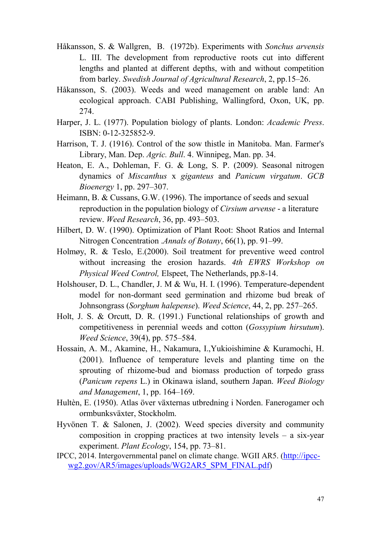- Håkansson, S. & Wallgren, B. (1972b). Experiments with *Sonchus arvensis* L. III. The development from reproductive roots cut into different lengths and planted at different depths, with and without competition from barley. *Swedish Journal of Agricultural Research*, 2, pp.15–26.
- Håkansson, S. (2003). Weeds and weed management on arable land: An ecological approach. CABI Publishing, Wallingford, Oxon, UK, pp. 274.
- Harper, J. L. (1977). Population biology of plants. London: *Academic Press*. ISBN: 0-12-325852-9.
- Harrison, T. J. (1916). Control of the sow thistle in Manitoba. Man. Farmer's Library, Man. Dep. *Agric. Bull*. 4. Winnipeg, Man. pp. 34.
- Heaton, E. A., Dohleman, F. G. & Long, S. P. (2009). Seasonal nitrogen dynamics of *Miscanthus* x *giganteus* and *Panicum virgatum*. *GCB Bioenergy* 1, pp. 297–307.
- Heimann, B. & Cussans, G.W. (1996). The importance of seeds and sexual reproduction in the population biology of *Cirsium arvense* - a literature review. *Weed Research*, 36, pp. 493–503.
- Hilbert, D. W. (1990). Optimization of Plant Root: Shoot Ratios and Internal Nitrogen Concentration .*Annals of Botany*, 66(1), pp. 91–99.
- Holmøy, R. & Teslo, E.(2000). Soil treatment for preventive weed control without increasing the erosion hazards. *4th EWRS Workshop on Physical Weed Control,* Elspeet, The Netherlands, pp.8-14.
- Holshouser, D. L., Chandler, J. M & Wu, H. I. (1996). Temperature-dependent model for non-dormant seed germination and rhizome bud break of Johnsongrass (*Sorghum halepense*). *Weed Science*, 44, 2, pp. 257–265.
- Holt, J. S. & Orcutt, D. R. (1991.) Functional relationships of growth and competitiveness in perennial weeds and cotton (*Gossypium hirsutum*). *Weed Science*, 39(4), pp. 575–584.
- Hossain, A. M., Akamine, H., Nakamura, I.,Yukioishimine & Kuramochi, H. (2001). Influence of temperature levels and planting time on the sprouting of rhizome-bud and biomass production of torpedo grass (*Panicum repens* L.) in Okinawa island, southern Japan. *Weed Biology and Management*, 1, pp. 164–169.
- Hultèn, E. (1950). Atlas över växternas utbredning i Norden. Fanerogamer och ormbunksväxter, Stockholm.
- Hyvönen T. & Salonen, J. (2002). Weed species diversity and community composition in cropping practices at two intensity levels – a six-year experiment. *Plant Ecology*, 154, pp. 73–81.
- IPCC, 2014. Intergovernmental panel on climate change. WGII AR5. [\(http://ipcc](http://ipcc-wg2.gov/AR5/images/uploads/WG2AR5_SPM_FINAL.pdf)[wg2.gov/AR5/images/uploads/WG2AR5\\_SPM\\_FINAL.pdf\)](http://ipcc-wg2.gov/AR5/images/uploads/WG2AR5_SPM_FINAL.pdf)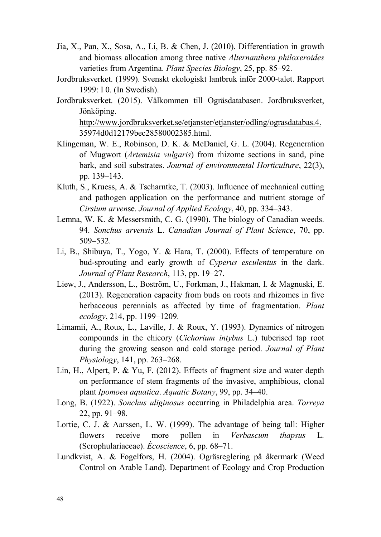- Jia, X., Pan, X., Sosa, A., Li, B. & Chen, J. (2010). Differentiation in growth and biomass allocation among three native *Alternanthera philoxeroides* varieties from Argentina. *Plant Species Biology*, 25, pp. 85–92.
- Jordbruksverket. (1999). Svenskt ekologiskt lantbruk inför 2000-talet. Rapport 1999: I 0. (In Swedish).
- Jordbruksverket. (2015). Välkommen till Ogräsdatabasen. Jordbruksverket, Jönköping. [http://www.jordbruksverket.se/etjanster/etjanster/odling/ograsdatabas.4.](http://www.jordbruksverket.se/etjanster/etjanster/odling/ograsdatabas.4.35974d0d12179bec28580002385.html) [35974d0d12179bec28580002385.html.](http://www.jordbruksverket.se/etjanster/etjanster/odling/ograsdatabas.4.35974d0d12179bec28580002385.html)
- Klingeman, W. E., Robinson, D. K. & McDaniel, G. L. (2004). Regeneration of Mugwort (*Artemisia vulgaris*) from rhizome sections in sand, pine bark, and soil substrates. *Journal of environmental Horticulture*, 22(3), pp. 139–143.
- Kluth, S., Kruess, A. & Tscharntke, T. (2003). Influence of mechanical cutting and pathogen application on the performance and nutrient storage of *Cirsium arven*se. *Journal of Applied Ecology*, 40, pp. 334–343.
- Lemna, W. K. & Messersmith, C. G. (1990). The biology of Canadian weeds. 94. *Sonchus arvensis* L. *Canadian Journal of Plant Science*, 70, pp. 509–532.
- Li, B., Shibuya, T., Yogo, Y. & Hara, T. (2000). Effects of temperature on bud-sprouting and early growth of *Cyperus esculentus* in the dark. *Journal of Plant Research*, 113, pp. 19–27.
- Liew, J., Andersson, L., Boström, U., Forkman, J., Hakman, I. & Magnuski, E. (2013). Regeneration capacity from buds on roots and rhizomes in five herbaceous perennials as affected by time of fragmentation. *Plant ecology*, 214, pp. 1199–1209.
- Limamii, A., Roux, L., Laville, J. & Roux, Y. (1993). Dynamics of nitrogen compounds in the chicory (*Cichorium intybus* L.) tuberised tap root during the growing season and cold storage period. *Journal of Plant Physiology*, 141, pp. 263–268.
- Lin, H., Alpert, P. & Yu, F. (2012). Effects of fragment size and water depth on performance of stem fragments of the invasive, amphibious, clonal plant *Ipomoea aquatica*. *Aquatic Botany*, 99, pp. 34–40.
- Long, B. (1922). *Sonchus uliginosus* occurring in Philadelphia area. *Torreya*  22, pp. 91–98.
- Lortie, C. J. & Aarssen, L. W. (1999). The advantage of being tall: Higher flowers receive more pollen in *Verbascum thapsus* L. (Scrophulariaceae). *Écoscience*, 6, pp. 68–71.
- Lundkvist, A. & Fogelfors, H. (2004). Ogräsreglering på åkermark (Weed Control on Arable Land). Department of Ecology and Crop Production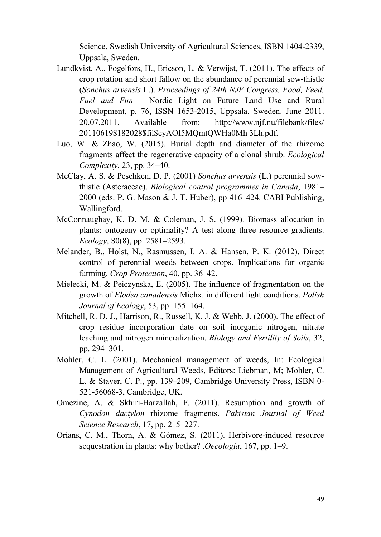Science, Swedish University of Agricultural Sciences, ISBN 1404-2339, Uppsala, Sweden.

- Lundkvist, A., Fogelfors, H., Ericson, L. & Verwijst, T. (2011). The effects of crop rotation and short fallow on the abundance of perennial sow-thistle (*Sonchus arvensis* L.). *Proceedings of 24th NJF Congress, Food, Feed, Fuel and Fun* – Nordic Light on Future Land Use and Rural Development, p. 76, ISSN 1653-2015, Uppsala, Sweden. June 2011. 20.07.2011. Available from: http://www.njf.nu/filebank/files/ 20110619\$182028\$fil\$cyAOI5MQmtQWHa0Mh 3Lh.pdf.
- Luo, W. & Zhao, W. (2015). Burial depth and diameter of the rhizome fragments affect the regenerative capacity of a clonal shrub. *Ecological Complexity*, 23, pp. 34–40.
- McClay, A. S. & Peschken, D. P. (2001) *Sonchus arvensis* (L.) perennial sowthistle (Asteraceae). *Biological control programmes in Canada*, 1981– 2000 (eds. P. G. Mason & J. T. Huber), pp 416–424. CABI Publishing, Wallingford.
- McConnaughay, K. D. M. & Coleman, J. S. (1999). Biomass allocation in plants: ontogeny or optimality? A test along three resource gradients. *Ecology*, 80(8), pp. 2581–2593.
- Melander, B., Holst, N., Rasmussen, I. A. & Hansen, P. K. (2012). Direct control of perennial weeds between crops. Implications for organic farming. *Crop Protection*, 40, pp. 36–42.
- Mielecki, M. & Peiczynska, E. (2005). The influence of fragmentation on the growth of *Elodea canadensis* Michx. in different light conditions. *Polish Journal of Ecology*, 53, pp. 155–164.
- Mitchell, R. D. J., Harrison, R., Russell, K. J. & Webb, J. (2000). The effect of crop residue incorporation date on soil inorganic nitrogen, nitrate leaching and nitrogen mineralization. *Biology and Fertility of Soils*, 32, pp. 294–301.
- Mohler, C. L. (2001). Mechanical management of weeds, In: Ecological Management of Agricultural Weeds, Editors: Liebman, M; Mohler, C. L. & Staver, C. P., pp. 139–209, Cambridge University Press, ISBN 0- 521-56068-3, Cambridge, UK.
- Omezine, A. & Skhiri-Harzallah, F. (2011). Resumption and growth of *Cynodon dactylon* rhizome fragments. *Pakistan Journal of Weed Science Research*, 17, pp. 215–227.
- Orians, C. M., Thorn, A. & Gómez, S. (2011). Herbivore-induced resource sequestration in plants: why bother? .*Oecologia*, 167, pp. 1–9.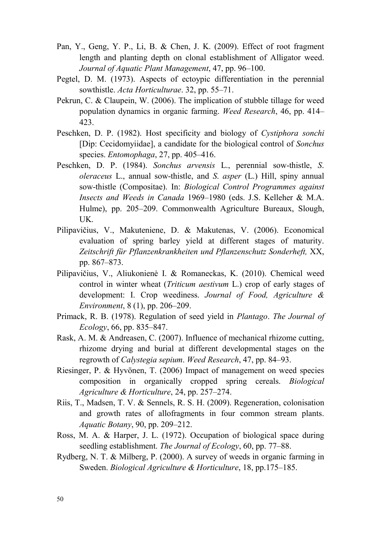- Pan, Y., Geng, Y. P., Li, B. & Chen, J. K. (2009). Effect of root fragment length and planting depth on clonal establishment of Alligator weed. *Journal of Aquatic Plant Management*, 47, pp. 96–100.
- Pegtel, D. M. (1973). Aspects of ectoypic differentiation in the perennial sowthistle. *Acta Horticulturae*. 32, pp. 55–71.
- Pekrun, C. & Claupein, W. (2006). The implication of stubble tillage for weed population dynamics in organic farming. *Weed Research*, 46, pp. 414– 423.
- Peschken, D. P. (1982). Host specificity and biology of *Cystiphora sonchi* [Dip: Cecidomyiidae], a candidate for the biological control of *Sonchus*  species. *Entomophaga*, 27, pp. 405–416.
- Peschken, D. P. (1984). *Sonchus arvensis* L., perennial sow-thistle, *S*. *oleraceus* L., annual sow-thistle, and *S*. *asper* (L.) Hill, spiny annual sow-thistle (Compositae). In: *Biological Control Programmes against Insects and Weeds in Canada* 1969–1980 (eds. J.S. Kelleher & M.A. Hulme), pp. 205–209. Commonwealth Agriculture Bureaux, Slough, UK.
- Pilipavičius, V., Makuteniene, D. & Makutenas, V. (2006). Economical evaluation of spring barley yield at different stages of maturity. *Zeitschrift für Pflanzenkrankheiten und Pflanzenschutz Sonderheft,* XX, pp. 867–873.
- Pilipavičius, V., Aliukonienė I. & Romaneckas, K. (2010). Chemical weed control in winter wheat (*Triticum aestivum* L.) crop of early stages of development: I. Crop weediness. *Journal of Food, Agriculture & Environment*, 8 (1), pp. 206–209.
- Primack, R. B. (1978). Regulation of seed yield in *Plantago*. *The Journal of Ecology*, 66, pp. 835–847.
- Rask, A. M. & Andreasen, C. (2007). Influence of mechanical rhizome cutting, rhizome drying and burial at different developmental stages on the regrowth of *Calystegia sepium*. *Weed Research*, 47, pp. 84–93.
- Riesinger, P. & Hyvönen, T. (2006) Impact of management on weed species composition in organically cropped spring cereals. *Biological Agriculture & Horticulture*, 24, pp. 257–274.
- Riis, T., Madsen, T. V. & Sennels, R. S. H. (2009). Regeneration, colonisation and growth rates of allofragments in four common stream plants. *Aquatic Botany*, 90, pp. 209–212.
- Ross, M. A. & Harper, J. L. (1972). Occupation of biological space during seedling establishment. *The Journal of Ecology*, 60, pp. 77–88.
- Rydberg, N. T. & Milberg, P. (2000). A survey of weeds in organic farming in Sweden. *Biological Agriculture & Horticulture*, 18, pp.175–185.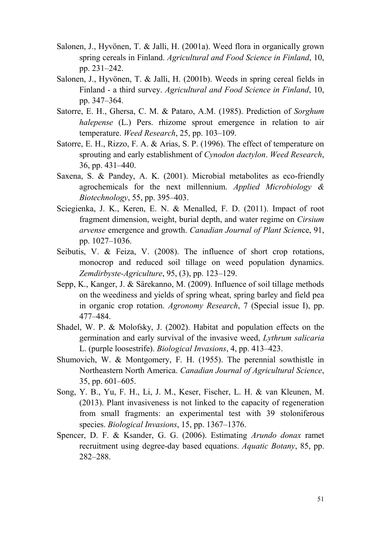- Salonen, J., Hyvönen, T. & Jalli, H. (2001a). Weed flora in organically grown spring cereals in Finland. *Agricultural and Food Science in Finland*, 10, pp. 231–242.
- Salonen, J., Hyvönen, T. & Jalli, H. (2001b). Weeds in spring cereal fields in Finland - a third survey. *Agricultural and Food Science in Finland*, 10, pp. 347–364.
- Satorre, E. H., Ghersa, C. M. & Pataro, A.M. (1985). Prediction of *Sorghum halepense* (L.) Pers. rhizome sprout emergence in relation to air temperature. *Weed Research*, 25, pp. 103–109.
- Satorre, E. H., Rizzo, F. A. & Arias, S. P. (1996). The effect of temperature on sprouting and early establishment of *Cynodon dactylon*. *Weed Research*, 36, pp. 431–440.
- Saxena, S. & Pandey, A. K. (2001). Microbial metabolites as eco-friendly agrochemicals for the next millennium. *Applied Microbiology & Biotechnology*, 55, pp. 395–403.
- Sciegienka, J. K., Keren, E. N. & Menalled, F. D. (2011). Impact of root fragment dimension, weight, burial depth, and water regime on *Cirsium arvense* emergence and growth. *Canadian Journal of Plant Scien*ce, 91, pp. 1027–1036.
- Seibutis, V. & Feiza, V. (2008). The influence of short crop rotations, monocrop and reduced soil tillage on weed population dynamics. *Zemdirbyste-Agriculture*, 95, (3), pp. 123–129.
- Sepp, K., Kanger, J. & Särekanno, M. (2009). Influence of soil tillage methods on the weediness and yields of spring wheat, spring barley and field pea in organic crop rotation. *Agronomy Research*, 7 (Special issue I), pp. 477–484.
- Shadel, W. P. & Molofsky, J. (2002). Habitat and population effects on the germination and early survival of the invasive weed, *Lythrum salicaria*  L. (purple loosestrife). *Biological Invasions*, 4, pp. 413–423.
- Shumovich, W. & Montgomery, F. H. (1955). The perennial sowthistle in Northeastern North America. *Canadian Journal of Agricultural Science*, 35, pp. 601–605.
- Song, Y. B., Yu, F. H., Li, J. M., Keser, Fischer, L. H. & van Kleunen, M. (2013). Plant invasiveness is not linked to the capacity of regeneration from small fragments: an experimental test with 39 stoloniferous species. *Biological Invasions*, 15, pp. 1367–1376.
- Spencer, D. F. & Ksander, G. G. (2006). Estimating *Arundo donax* ramet recruitment using degree-day based equations. *Aquatic Botany*, 85, pp. 282–288.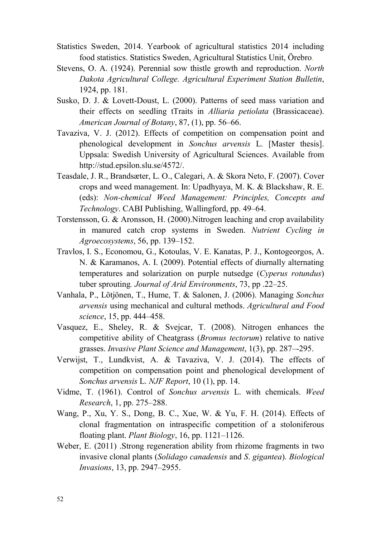- Statistics Sweden, 2014. Yearbook of agricultural statistics 2014 including food statistics. Statistics Sweden, Agricultural Statistics Unit, Örebro.
- Stevens, O. A. (1924). Perennial sow thistle growth and reproduction. *North Dakota Agricultural College. Agricultural Experiment Station Bulletin*, 1924, pp. 181.
- Susko, D. J. & Lovett-Doust, L. (2000). Patterns of seed mass variation and their effects on seedling tTraits in *Alliaria petiolata* (Brassicaceae). *American Journal of Botany*, 87, (1), pp. 56–66.
- Tavaziva, V. J. (2012). Effects of competition on compensation point and phenological development in *Sonchus arvensis* L. [Master thesis]. Uppsala: Swedish University of Agricultural Sciences. Available from http://stud.epsilon.slu.se/4572/.
- Teasdale, J. R., Brandsæter, L. O., Calegari, A. & Skora Neto, F. (2007). Cover crops and weed management. In: Upadhyaya, M. K. & Blackshaw, R. E. (eds): *Non-chemical Weed Management: Principles, Concepts and Technology*. CABI Publishing, Wallingford, pp. 49–64.
- Torstensson, G. & Aronsson, H. (2000).Nitrogen leaching and crop availability in manured catch crop systems in Sweden. *Nutrient Cycling in Agroecosystems*, 56, pp. 139–152.
- Travlos, I. S., Economou, G., Kotoulas, V. E. Kanatas, P. J., Kontogeorgos, A. N. & Karamanos, A. I. (2009). Potential effects of diurnally alternating temperatures and solarization on purple nutsedge (*Cyperus rotundus*) tuber sprouting*. Journal of Arid Environments*, 73, pp .22–25.
- Vanhala, P., Lötjönen, T., Hume, T. & Salonen, J. (2006). Managing *Sonchus arvensis* using mechanical and cultural methods. *Agricultural and Food science*, 15, pp. 444–458.
- Vasquez, E., Sheley, R. & Svejcar, T. (2008). Nitrogen enhances the competitive ability of Cheatgrass (*Bromus tectorum*) relative to native grasses. *Invasive Plant Science and Management*, 1(3), pp. 287–-295.
- Verwijst, T., Lundkvist, A. & Tavaziva, V. J. (2014). The effects of competition on compensation point and phenological development of *Sonchus arvensis* L. *NJF Report*, 10 (1), pp. 14.
- Vidme, T. (1961). Control of *Sonchus arvensis* L. with chemicals. *Weed Research*, 1, pp. 275–288.
- Wang, P., Xu, Y. S., Dong, B. C., Xue, W. & Yu, F. H. (2014). Effects of clonal fragmentation on intraspecific competition of a stoloniferous floating plant. *Plant Biology*, 16, pp. 1121–1126.
- Weber, E. (2011) .Strong regeneration ability from rhizome fragments in two invasive clonal plants (*Solidago canadensis* and *S*. *gigantea*). *Biological Invasions*, 13, pp. 2947–2955.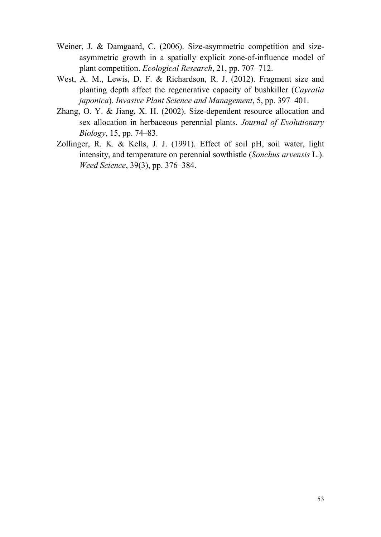- Weiner, J. & Damgaard, C. (2006). Size-asymmetric competition and sizeasymmetric growth in a spatially explicit zone-of-influence model of plant competition. *Ecological Research*, 21, pp. 707–712.
- West, A. M., Lewis, D. F. & Richardson, R. J. (2012). Fragment size and planting depth affect the regenerative capacity of bushkiller (*Cayratia japonica*). *Invasive Plant Science and Management*, 5, pp. 397–401.
- Zhang, O. Y. & Jiang, X. H. (2002). Size-dependent resource allocation and sex allocation in herbaceous perennial plants. *Journal of Evolutionary Biology*, 15, pp. 74–83.
- Zollinger, R. K. & Kells, J. J. (1991). Effect of soil pH, soil water, light intensity, and temperature on perennial sowthistle (*Sonchus arvensis* L.). *Weed Science*, 39(3), pp. 376–384.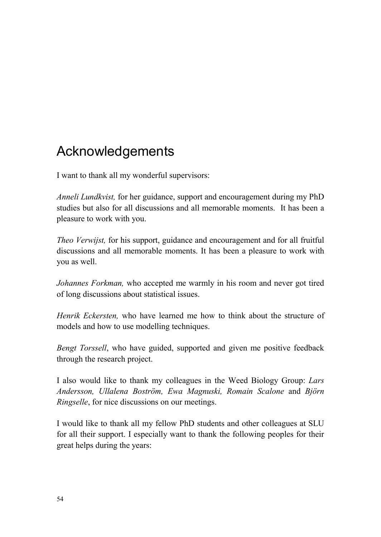# <span id="page-53-0"></span>Acknowledgements

I want to thank all my wonderful supervisors:

*Anneli Lundkvist,* for her guidance, support and encouragement during my PhD studies but also for all discussions and all memorable moments. It has been a pleasure to work with you.

*Theo Verwijst,* for his support, guidance and encouragement and for all fruitful discussions and all memorable moments. It has been a pleasure to work with you as well.

*Johannes Forkman,* who accepted me warmly in his room and never got tired of long discussions about statistical issues.

*Henrik Eckersten,* who have learned me how to think about the structure of models and how to use modelling techniques.

*Bengt Torssell*, who have guided, supported and given me positive feedback through the research project.

I also would like to thank my colleagues in the Weed Biology Group: *Lars Andersson, Ullalena Boström, Ewa Magnuski, Romain Scalone* and *Björn Ringselle*, for nice discussions on our meetings.

I would like to thank all my fellow PhD students and other colleagues at SLU for all their support. I especially want to thank the following peoples for their great helps during the years: